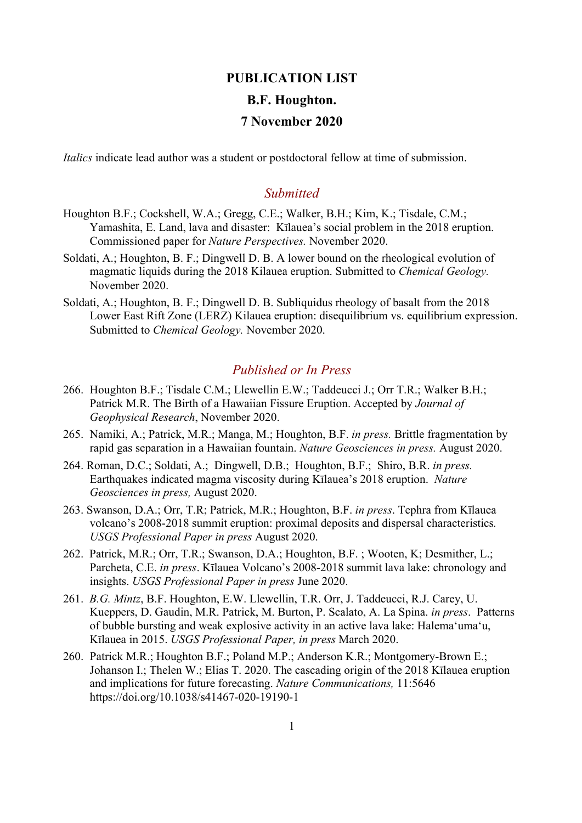## **PUBLICATION LIST B.F. Houghton. 7 November 2020**

*Italics* indicate lead author was a student or postdoctoral fellow at time of submission.

## *Submitted*

- Houghton B.F.; Cockshell, W.A.; Gregg, C.E.; Walker, B.H.; Kim, K.; Tisdale, C.M.; Yamashita, E. Land, lava and disaster: Kīlauea's social problem in the 2018 eruption. Commissioned paper for *Nature Perspectives.* November 2020.
- Soldati, A.; Houghton, B. F.; Dingwell D. B. A lower bound on the rheological evolution of magmatic liquids during the 2018 Kilauea eruption. Submitted to *Chemical Geology.*  November 2020.
- Soldati, A.; Houghton, B. F.; Dingwell D. B. Subliquidus rheology of basalt from the 2018 Lower East Rift Zone (LERZ) Kilauea eruption: disequilibrium vs. equilibrium expression. Submitted to *Chemical Geology.* November 2020.

## *Published or In Press*

- 266. Houghton B.F.; Tisdale C.M.; Llewellin E.W.; Taddeucci J.; Orr T.R.; Walker B.H.; Patrick M.R. The Birth of a Hawaiian Fissure Eruption. Accepted by *Journal of Geophysical Research*, November 2020.
- 265. Namiki, A.; Patrick, M.R.; Manga, M.; Houghton, B.F. *in press.* Brittle fragmentation by rapid gas separation in a Hawaiian fountain. *Nature Geosciences in press.* August 2020.
- 264. Roman, D.C.; Soldati, A.; Dingwell, D.B.; Houghton, B.F.; Shiro, B.R. *in press.*  Earthquakes indicated magma viscosity during Kīlauea's 2018 eruption. *Nature Geosciences in press,* August 2020.
- 263. Swanson, D.A.; Orr, T.R; Patrick, M.R.; Houghton, B.F. *in press*. Tephra from Kīlauea volcano's 2008-2018 summit eruption: proximal deposits and dispersal characteristics*. USGS Professional Paper in press* August 2020.
- 262. Patrick, M.R.; Orr, T.R.; Swanson, D.A.; Houghton, B.F. ; Wooten, K; Desmither, L.; Parcheta, C.E. *in press*. Kīlauea Volcano's 2008-2018 summit lava lake: chronology and insights. *USGS Professional Paper in press* June 2020.
- 261. *B.G. Mintz*, B.F. Houghton, E.W. Llewellin, T.R. Orr, J. Taddeucci, R.J. Carey, U. Kueppers, D. Gaudin, M.R. Patrick, M. Burton, P. Scalato, A. La Spina. *in press*. Patterns of bubble bursting and weak explosive activity in an active lava lake: Halema'uma'u, Kīlauea in 2015. *USGS Professional Paper, in press* March 2020.
- 260. Patrick M.R.; Houghton B.F.; Poland M.P.; Anderson K.R.; Montgomery-Brown E.; Johanson I.; Thelen W.; Elias T. 2020. The cascading origin of the 2018 Kīlauea eruption and implications for future forecasting. *Nature Communications,* 11:5646 https://doi.org/10.1038/s41467-020-19190-1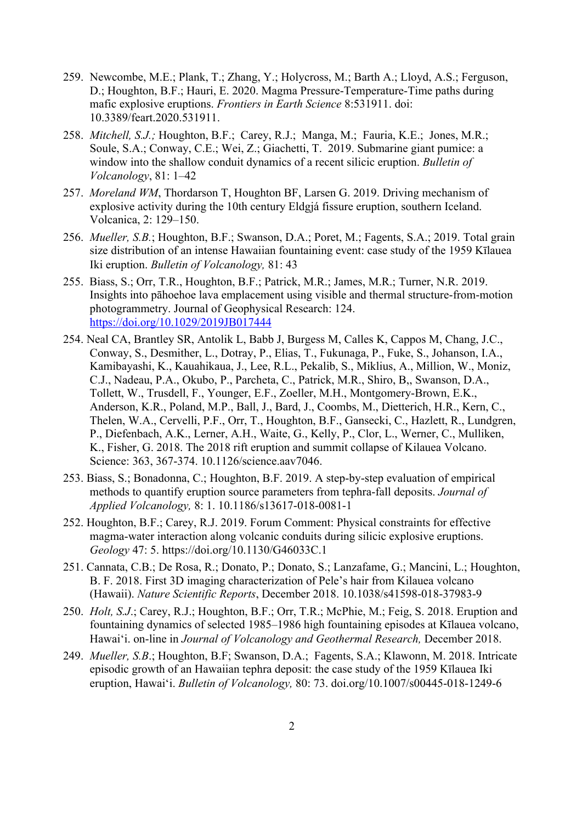- 259. Newcombe, M.E.; Plank, T.; Zhang, Y.; Holycross, M.; Barth A.; Lloyd, A.S.; Ferguson, D.; Houghton, B.F.; Hauri, E. 2020. Magma Pressure-Temperature-Time paths during mafic explosive eruptions. *Frontiers in Earth Science* 8:531911. doi: 10.3389/feart.2020.531911.
- 258. *Mitchell, S.J.;* Houghton, B.F.; Carey, R.J.; Manga, M.; Fauria, K.E.; Jones, M.R.; Soule, S.A.; Conway, C.E.; Wei, Z.; Giachetti, T. 2019. Submarine giant pumice: a window into the shallow conduit dynamics of a recent silicic eruption. *Bulletin of Volcanology*, 81: 1–42
- 257. *Moreland WM*, Thordarson T, Houghton BF, Larsen G. 2019. Driving mechanism of explosive activity during the 10th century Eldgjá fissure eruption, southern Iceland. Volcanica, 2: 129–150.
- 256. *Mueller, S.B.*; Houghton, B.F.; Swanson, D.A.; Poret, M.; Fagents, S.A.; 2019. Total grain size distribution of an intense Hawaiian fountaining event: case study of the 1959 Kīlauea Iki eruption. *Bulletin of Volcanology,* 81: 43
- 255. Biass, S.; Orr, T.R., Houghton, B.F.; Patrick, M.R.; James, M.R.; Turner, N.R. 2019. Insights into pāhoehoe lava emplacement using visible and thermal structure-from-motion photogrammetry. Journal of Geophysical Research: 124. https://doi.org/10.1029/2019JB017444
- 254. Neal CA, Brantley SR, Antolik L, Babb J, Burgess M, Calles K, Cappos M, Chang, J.C., Conway, S., Desmither, L., Dotray, P., Elias, T., Fukunaga, P., Fuke, S., Johanson, I.A., Kamibayashi, K., Kauahikaua, J., Lee, R.L., Pekalib, S., Miklius, A., Million, W., Moniz, C.J., Nadeau, P.A., Okubo, P., Parcheta, C., Patrick, M.R., Shiro, B,, Swanson, D.A., Tollett, W., Trusdell, F., Younger, E.F., Zoeller, M.H., Montgomery-Brown, E.K., Anderson, K.R., Poland, M.P., Ball, J., Bard, J., Coombs, M., Dietterich, H.R., Kern, C., Thelen, W.A., Cervelli, P.F., Orr, T., Houghton, B.F., Gansecki, C., Hazlett, R., Lundgren, P., Diefenbach, A.K., Lerner, A.H., Waite, G., Kelly, P., Clor, L., Werner, C., Mulliken, K., Fisher, G. 2018. The 2018 rift eruption and summit collapse of Kilauea Volcano. Science: 363, 367-374. 10.1126/science.aav7046.
- 253. Biass, S.; Bonadonna, C.; Houghton, B.F. 2019. A step-by-step evaluation of empirical methods to quantify eruption source parameters from tephra-fall deposits. *Journal of Applied Volcanology,* 8: 1. 10.1186/s13617-018-0081-1
- 252. Houghton, B.F.; Carey, R.J. 2019. Forum Comment: Physical constraints for effective magma-water interaction along volcanic conduits during silicic explosive eruptions. *Geology* 47: 5. https://doi.org/10.1130/G46033C.1
- 251. Cannata, C.B.; De Rosa, R.; Donato, P.; Donato, S.; Lanzafame, G.; Mancini, L.; Houghton, B. F. 2018. First 3D imaging characterization of Pele's hair from Kilauea volcano (Hawaii). *Nature Scientific Reports*, December 2018. 10.1038/s41598-018-37983-9
- 250. *Holt, S.J*.; Carey, R.J.; Houghton, B.F.; Orr, T.R.; McPhie, M.; Feig, S. 2018. Eruption and fountaining dynamics of selected 1985–1986 high fountaining episodes at Kīlauea volcano, Hawaiʻi. on-line in *Journal of Volcanology and Geothermal Research,* December 2018.
- 249. *Mueller, S.B*.; Houghton, B.F; Swanson, D.A.; Fagents, S.A.; Klawonn, M. 2018. Intricate episodic growth of an Hawaiian tephra deposit: the case study of the 1959 Kīlauea Iki eruption, Hawaiʻi. *Bulletin of Volcanology,* 80: 73. doi.org/10.1007/s00445-018-1249-6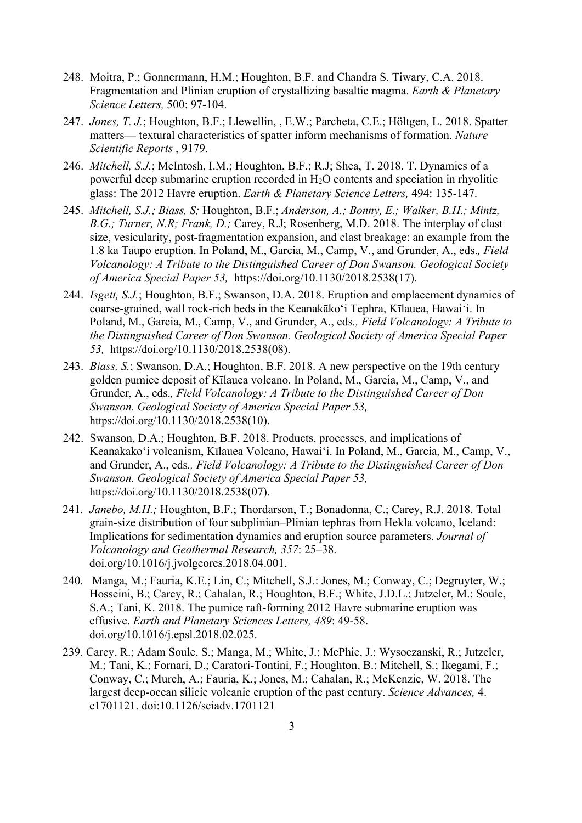- 248. Moitra, P.; Gonnermann, H.M.; Houghton, B.F. and Chandra S. Tiwary, C.A. 2018. Fragmentation and Plinian eruption of crystallizing basaltic magma. *Earth & Planetary Science Letters,* 500: 97-104.
- 247. *Jones, T. J.*; Houghton, B.F.; Llewellin, , E.W.; Parcheta, C.E.; Höltgen, L. 2018. Spatter matters— textural characteristics of spatter inform mechanisms of formation. *Nature Scientific Reports* , 9179.
- 246. *Mitchell, S.J.*; McIntosh, I.M.; Houghton, B.F.; R.J; Shea, T. 2018. T. Dynamics of a powerful deep submarine eruption recorded in H2O contents and speciation in rhyolitic glass: The 2012 Havre eruption. *Earth & Planetary Science Letters,* 494: 135-147.
- 245. *Mitchell, S.J.; Biass, S;* Houghton, B.F.; *Anderson, A.; Bonny, E.; Walker, B.H.; Mintz, B.G.; Turner, N.R; Frank, D.;* Carey, R.J; Rosenberg, M.D. 2018. The interplay of clast size, vesicularity, post-fragmentation expansion, and clast breakage: an example from the 1.8 ka Taupo eruption. In Poland, M., Garcia, M., Camp, V., and Grunder, A., eds.*, Field Volcanology: A Tribute to the Distinguished Career of Don Swanson. Geological Society of America Special Paper 53,* https://doi.org/10.1130/2018.2538(17).
- 244. *Isgett, S.J.*; Houghton, B.F.; Swanson, D.A. 2018. Eruption and emplacement dynamics of coarse-grained, wall rock-rich beds in the Keanakāko'i Tephra, Kīlauea, Hawai'i. In Poland, M., Garcia, M., Camp, V., and Grunder, A., eds*., Field Volcanology: A Tribute to the Distinguished Career of Don Swanson. Geological Society of America Special Paper 53,* https://doi.org/10.1130/2018.2538(08).
- 243. *Biass, S.*; Swanson, D.A.; Houghton, B.F. 2018. A new perspective on the 19th century golden pumice deposit of Kīlauea volcano. In Poland, M., Garcia, M., Camp, V., and Grunder, A., eds.*, Field Volcanology: A Tribute to the Distinguished Career of Don Swanson. Geological Society of America Special Paper 53,* https://doi.org/10.1130/2018.2538(10).
- 242. Swanson, D.A.; Houghton, B.F. 2018. Products, processes, and implications of Keanakako'i volcanism, Kīlauea Volcano, Hawai'i. In Poland, M., Garcia, M., Camp, V., and Grunder, A., eds*., Field Volcanology: A Tribute to the Distinguished Career of Don Swanson. Geological Society of America Special Paper 53,* https://doi.org/10.1130/2018.2538(07).
- 241. *Janebo, M.H.;* Houghton, B.F.; Thordarson, T.; Bonadonna, C.; Carey, R.J. 2018. Total grain-size distribution of four subplinian–Plinian tephras from Hekla volcano, Iceland: Implications for sedimentation dynamics and eruption source parameters. *Journal of Volcanology and Geothermal Research, 357*: 25–38. doi.org/10.1016/j.jvolgeores.2018.04.001.
- 240. Manga, M.; Fauria, K.E.; Lin, C.; Mitchell, S.J.: Jones, M.; Conway, C.; Degruyter, W.; Hosseini, B.; Carey, R.; Cahalan, R.; Houghton, B.F.; White, J.D.L.; Jutzeler, M.; Soule, S.A.; Tani, K. 2018. The pumice raft-forming 2012 Havre submarine eruption was effusive. *Earth and Planetary Sciences Letters, 489*: 49-58. doi.org/10.1016/j.epsl.2018.02.025.
- 239. Carey, R.; Adam Soule, S.; Manga, M.; White, J.; McPhie, J.; Wysoczanski, R.; Jutzeler, M.; Tani, K.; Fornari, D.; Caratori-Tontini, F.; Houghton, B.; Mitchell, S*.*; Ikegami, F.; Conway, C.; Murch, A.; Fauria, K.; Jones, M.; Cahalan, R.; McKenzie, W. 2018. The largest deep-ocean silicic volcanic eruption of the past century. *Science Advances,* 4. e1701121. doi:10.1126/sciadv.1701121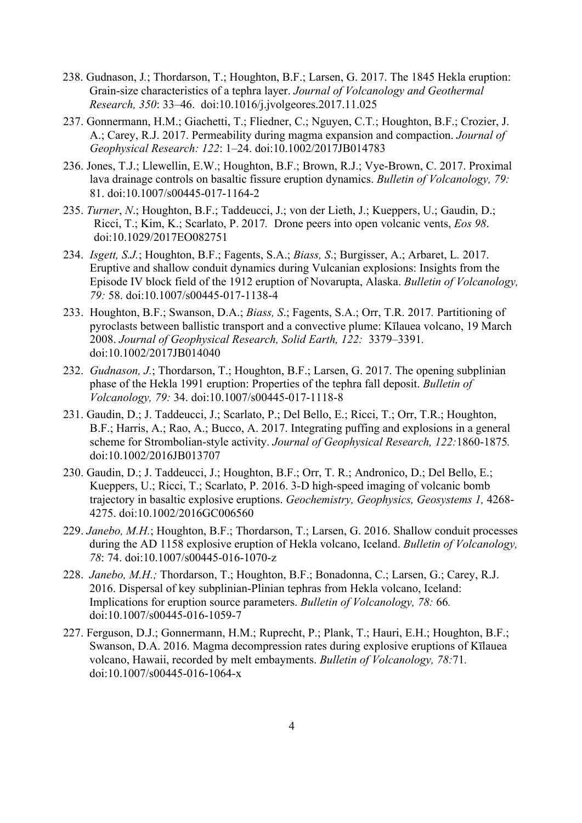- 238. Gudnason, J*.*; Thordarson, T.; Houghton, B.F.; Larsen, G. 2017. The 1845 Hekla eruption: Grain-size characteristics of a tephra layer. *Journal of Volcanology and Geothermal Research, 350*: 33–46. doi:10.1016/j.jvolgeores.2017.11.025
- 237. Gonnermann, H.M.; Giachetti, T.; Fliedner, C.; Nguyen, C.T*.*; Houghton, B.F.; Crozier, J. A.; Carey, R.J. 2017. Permeability during magma expansion and compaction. *Journal of Geophysical Research: 122*: 1–24. doi:10.1002/2017JB014783
- 236. Jones, T.J.; Llewellin, E.W.; Houghton, B.F.; Brown, R.J.; Vye-Brown, C. 2017. Proximal lava drainage controls on basaltic fissure eruption dynamics. *Bulletin of Volcanology, 79:* 81. doi:10.1007/s00445-017-1164-2
- 235. *Turner*, *N*.; Houghton, B.F.; Taddeucci, J.; von der Lieth, J.; Kueppers, U.; Gaudin, D.; Ricci, T.; Kim, K.; Scarlato, P. 2017*.* Drone peers into open volcanic vents, *Eos 98*. doi:10.1029/2017EO082751
- 234. *Isgett, S.J.*; Houghton, B.F.; Fagents, S.A.; *Biass, S*.; Burgisser, A.; Arbaret, L*.* 2017. Eruptive and shallow conduit dynamics during Vulcanian explosions: Insights from the Episode IV block field of the 1912 eruption of Novarupta, Alaska. *Bulletin of Volcanology, 79:* 58. doi:10.1007/s00445-017-1138-4
- 233. Houghton, B.F.; Swanson, D.A.; *Biass, S*.; Fagents, S.A.; Orr, T.R. 2017*.* Partitioning of pyroclasts between ballistic transport and a convective plume: Kīlauea volcano, 19 March 2008. *Journal of Geophysical Research, Solid Earth, 122:* 3379–3391*.* doi:10.1002/2017JB014040
- 232. *Gudnason, J.*; Thordarson, T.; Houghton, B.F.; Larsen, G. 2017. The opening subplinian phase of the Hekla 1991 eruption: Properties of the tephra fall deposit. *Bulletin of Volcanology, 79:* 34. doi:10.1007/s00445-017-1118-8
- 231. Gaudin, D.; J. Taddeucci, J.; Scarlato, P.; Del Bello, E.; Ricci, T.; Orr, T.R.; Houghton, B.F.; Harris, A.; Rao, A.; Bucco, A. 2017. Integrating puffing and explosions in a general scheme for Strombolian-style activity. *Journal of Geophysical Research, 122:*1860-1875*.*  doi:10.1002/2016JB013707
- 230. Gaudin, D.; J. Taddeucci, J.; Houghton, B.F.; Orr, T. R.; Andronico, D.; Del Bello, E.; Kueppers, U.; Ricci, T.; Scarlato, P. 2016. 3-D high-speed imaging of volcanic bomb trajectory in basaltic explosive eruptions. *Geochemistry, Geophysics, Geosystems 1,* 4268- 4275. doi:10.1002/2016GC006560
- 229. *Janebo, M.H.*; Houghton, B.F.; Thordarson, T.; Larsen, G. 2016. Shallow conduit processes during the AD 1158 explosive eruption of Hekla volcano, Iceland. *Bulletin of Volcanology, 78*: 74. doi:10.1007/s00445-016-1070-z
- 228. *Janebo, M.H.;* Thordarson, T.; Houghton, B.F.; Bonadonna, C.; Larsen, G.; Carey, R.J. 2016. Dispersal of key subplinian-Plinian tephras from Hekla volcano, Iceland: Implications for eruption source parameters. *Bulletin of Volcanology, 78:* 66*.* doi:10.1007/s00445-016-1059-7
- 227. Ferguson, D.J.; Gonnermann, H.M.; Ruprecht, P.; Plank, T.; Hauri, E.H.; Houghton, B.F.; Swanson, D.A. 2016. Magma decompression rates during explosive eruptions of Kīlauea volcano, Hawaii, recorded by melt embayments. *Bulletin of Volcanology, 78:*71*.* doi:10.1007/s00445-016-1064-x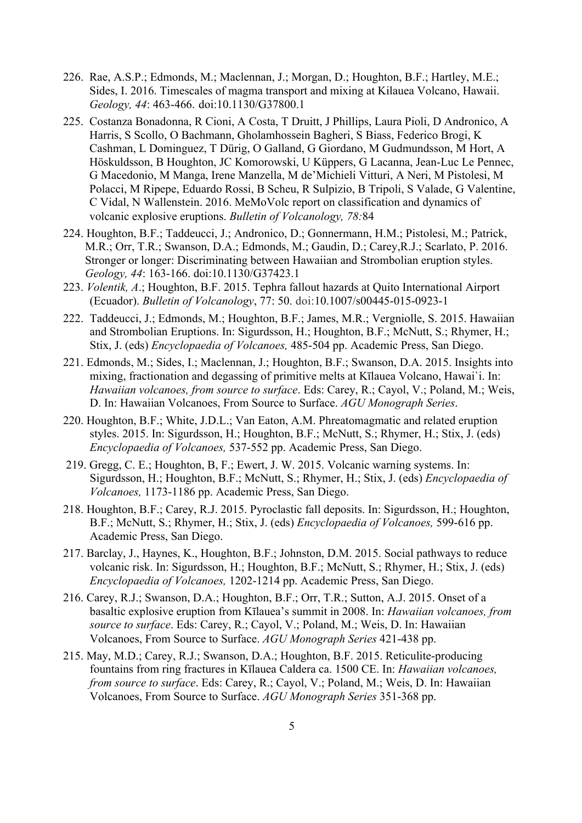- 226. Rae, A.S.P.; Edmonds, M.; Maclennan, J.; Morgan, D.; Houghton, B.F.; Hartley, M.E.; Sides, I. 2016. Timescales of magma transport and mixing at Kilauea Volcano, Hawaii. *Geology, 44*: 463-466. doi:10.1130/G37800.1
- 225. Costanza Bonadonna, R Cioni, A Costa, T Druitt, J Phillips, Laura Pioli, D Andronico, A Harris, S Scollo, O Bachmann, Gholamhossein Bagheri, S Biass, Federico Brogi, K Cashman, L Dominguez, T Dürig, O Galland, G Giordano, M Gudmundsson, M Hort, A Höskuldsson, B Houghton, JC Komorowski, U Küppers, G Lacanna, Jean-Luc Le Pennec, G Macedonio, M Manga, Irene Manzella, M de'Michieli Vitturi, A Neri, M Pistolesi, M Polacci, M Ripepe, Eduardo Rossi, B Scheu, R Sulpizio, B Tripoli, S Valade, G Valentine, C Vidal, N Wallenstein. 2016. MeMoVolc report on classification and dynamics of volcanic explosive eruptions. *Bulletin of Volcanology, 78:*84
- 224. Houghton, B.F.; Taddeucci, J.; Andronico, D.; Gonnermann, H.M.; Pistolesi, M.; Patrick, M.R.; Orr, T.R.; Swanson, D.A.; Edmonds, M.; Gaudin, D.; Carey,R.J.; Scarlato, P. 2016. Stronger or longer: Discriminating between Hawaiian and Strombolian eruption styles. *Geology, 44*: 163-166. doi:10.1130/G37423.1
- 223. *Volentik, A*.; Houghton, B.F. 2015. Tephra fallout hazards at Quito International Airport (Ecuador). *Bulletin of Volcanology*, 77: 50. doi:10.1007/s00445-015-0923-1
- 222. Taddeucci, J.; Edmonds, M.; Houghton, B.F.; James, M.R.; Vergniolle, S. 2015. Hawaiian and Strombolian Eruptions. In: Sigurdsson, H.; Houghton, B.F.; McNutt, S.; Rhymer, H.; Stix, J. (eds) *Encyclopaedia of Volcanoes,* 485-504 pp. Academic Press, San Diego.
- 221. Edmonds, M.; Sides, I.; Maclennan, J.; Houghton, B.F.; Swanson, D.A. 2015. Insights into mixing, fractionation and degassing of primitive melts at Kīlauea Volcano, Hawai`i. In: *Hawaiian volcanoes, from source to surface*. Eds: Carey, R.; Cayol, V.; Poland, M.; Weis, D. In: Hawaiian Volcanoes, From Source to Surface. *AGU Monograph Series*.
- 220. Houghton, B.F.; White, J.D.L.; Van Eaton, A.M. Phreatomagmatic and related eruption styles. 2015. In: Sigurdsson, H.; Houghton, B.F.; McNutt, S.; Rhymer, H.; Stix, J. (eds) *Encyclopaedia of Volcanoes,* 537-552 pp. Academic Press, San Diego.
- 219. Gregg, C. E.; Houghton, B, F.; Ewert, J. W. 2015. Volcanic warning systems. In: Sigurdsson, H.; Houghton, B.F.; McNutt, S.; Rhymer, H.; Stix, J. (eds) *Encyclopaedia of Volcanoes,* 1173-1186 pp. Academic Press, San Diego.
- 218. Houghton, B.F.; Carey, R.J. 2015. Pyroclastic fall deposits. In: Sigurdsson, H.; Houghton, B.F.; McNutt, S.; Rhymer, H.; Stix, J. (eds) *Encyclopaedia of Volcanoes,* 599-616 pp. Academic Press, San Diego.
- 217. Barclay, J., Haynes, K., Houghton, B.F.; Johnston, D.M. 2015. Social pathways to reduce volcanic risk. In: Sigurdsson, H.; Houghton, B.F.; McNutt, S.; Rhymer, H.; Stix, J. (eds) *Encyclopaedia of Volcanoes,* 1202-1214 pp. Academic Press, San Diego.
- 216. Carey, R.J.; Swanson, D.A.; Houghton, B.F.; Orr, T.R.; Sutton, A.J. 2015. Onset of a basaltic explosive eruption from Kīlauea's summit in 2008. In: *Hawaiian volcanoes, from source to surface*. Eds: Carey, R.; Cayol, V.; Poland, M.; Weis, D. In: Hawaiian Volcanoes, From Source to Surface. *AGU Monograph Series* 421-438 pp.
- 215. May, M.D.; Carey, R.J.; Swanson, D.A.; Houghton, B.F. 2015. Reticulite-producing fountains from ring fractures in Kīlauea Caldera ca. 1500 CE. In: *Hawaiian volcanoes, from source to surface*. Eds: Carey, R.; Cayol, V.; Poland, M.; Weis, D. In: Hawaiian Volcanoes, From Source to Surface. *AGU Monograph Series* 351-368 pp.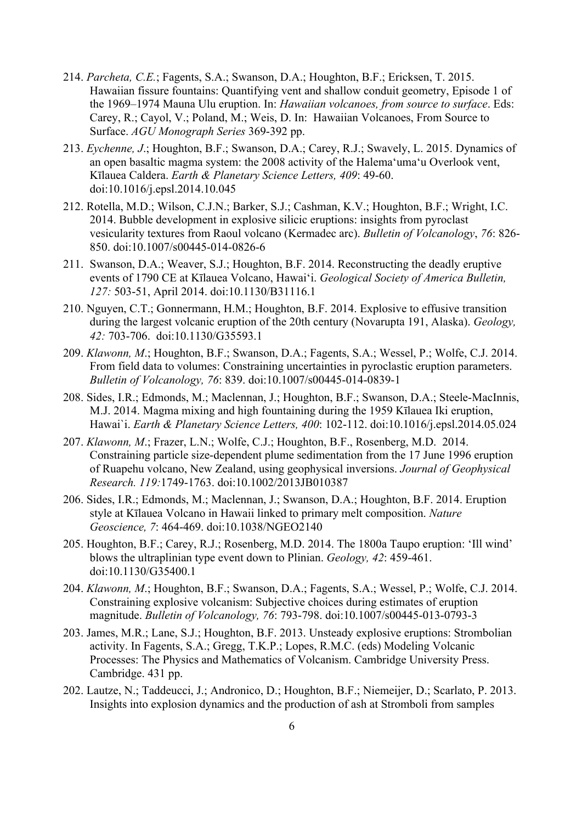- 214. *Parcheta, C.E.*; Fagents, S.A.; Swanson, D.A.; Houghton, B.F.; Ericksen, T. 2015. Hawaiian fissure fountains: Quantifying vent and shallow conduit geometry, Episode 1 of the 1969–1974 Mauna Ulu eruption. In: *Hawaiian volcanoes, from source to surface*. Eds: Carey, R.; Cayol, V.; Poland, M.; Weis, D. In: Hawaiian Volcanoes, From Source to Surface. *AGU Monograph Series* 369-392 pp.
- 213. *Eychenne, J*.; Houghton, B.F.; Swanson, D.A.; Carey, R.J.; Swavely, L. 2015. Dynamics of an open basaltic magma system: the 2008 activity of the Halemaʻumaʻu Overlook vent, Kīlauea Caldera. *Earth & Planetary Science Letters, 409*: 49-60. doi:10.1016/j.epsl.2014.10.045
- 212. Rotella, M.D.; Wilson, C.J.N.; Barker, S.J.; Cashman, K.V.; Houghton, B.F.; Wright, I.C. 2014. Bubble development in explosive silicic eruptions: insights from pyroclast vesicularity textures from Raoul volcano (Kermadec arc). *Bulletin of Volcanology*, *76*: 826- 850. doi:10.1007/s00445-014-0826-6
- 211. Swanson, D.A.; Weaver, S.J.; Houghton, B.F. 2014. Reconstructing the deadly eruptive events of 1790 CE at Kīlauea Volcano, Hawai'i. *Geological Society of America Bulletin, 127:* 503-51, April 2014. doi:10.1130/B31116.1
- 210. Nguyen, C.T.; Gonnermann, H.M.; Houghton, B.F. 2014. Explosive to effusive transition during the largest volcanic eruption of the 20th century (Novarupta 191, Alaska). *Geology, 42:* 703-706. doi:10.1130/G35593.1
- 209. *Klawonn, M*.; Houghton, B.F.; Swanson, D.A.; Fagents, S.A.; Wessel, P.; Wolfe, C.J. 2014. From field data to volumes: Constraining uncertainties in pyroclastic eruption parameters. *Bulletin of Volcanology, 76*: 839. doi:10.1007/s00445-014-0839-1
- 208. Sides, I.R.; Edmonds, M.; Maclennan, J.; Houghton, B.F.; Swanson, D.A.; Steele-MacInnis, M.J. 2014. Magma mixing and high fountaining during the 1959 Kīlauea Iki eruption, Hawai`i. *Earth & Planetary Science Letters, 400*: 102-112. doi:10.1016/j.epsl.2014.05.024
- 207. *Klawonn, M*.; Frazer, L.N.; Wolfe, C.J.; Houghton, B.F., Rosenberg, M.D. 2014. Constraining particle size-dependent plume sedimentation from the 17 June 1996 eruption of Ruapehu volcano, New Zealand, using geophysical inversions. *Journal of Geophysical Research. 119:*1749-1763. doi:10.1002/2013JB010387
- 206. Sides, I.R.; Edmonds, M.; Maclennan, J.; Swanson, D.A.; Houghton, B.F. 2014. Eruption style at Kīlauea Volcano in Hawaii linked to primary melt composition. *Nature Geoscience, 7*: 464-469. doi:10.1038/NGEO2140
- 205. Houghton, B.F.; Carey, R.J.; Rosenberg, M.D. 2014. The 1800a Taupo eruption: 'Ill wind' blows the ultraplinian type event down to Plinian. *Geology, 42*: 459-461. doi:10.1130/G35400.1
- 204. *Klawonn, M*.; Houghton, B.F.; Swanson, D.A.; Fagents, S.A.; Wessel, P.; Wolfe, C.J. 2014. Constraining explosive volcanism: Subjective choices during estimates of eruption magnitude. *Bulletin of Volcanology, 76*: 793-798. doi:10.1007/s00445-013-0793-3
- 203. James, M.R.; Lane, S.J.; Houghton, B.F. 2013. Unsteady explosive eruptions: Strombolian activity. In Fagents, S.A.; Gregg, T.K.P.; Lopes, R.M.C. (eds) Modeling Volcanic Processes: The Physics and Mathematics of Volcanism. Cambridge University Press. Cambridge. 431 pp.
- 202. Lautze, N.; Taddeucci, J.; Andronico, D.; Houghton, B.F.; Niemeijer, D.; Scarlato, P. 2013. Insights into explosion dynamics and the production of ash at Stromboli from samples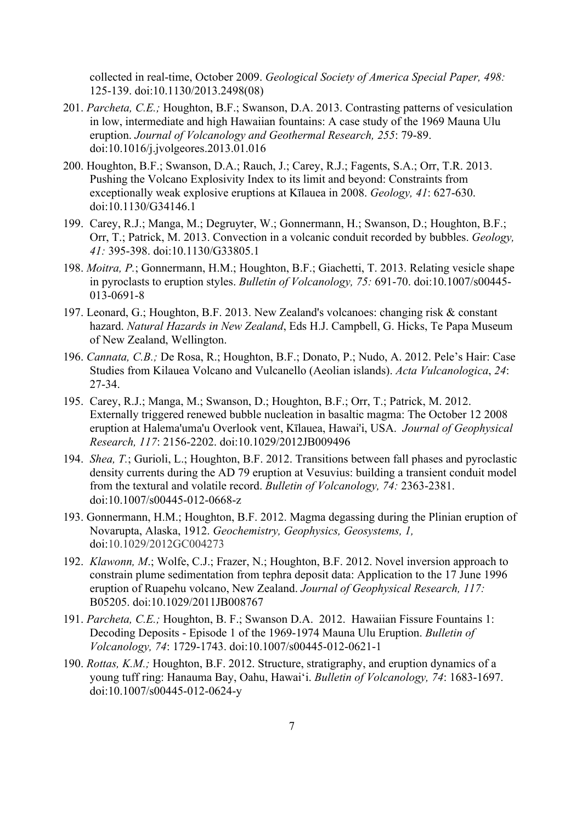collected in real-time, October 2009. *Geological Society of America Special Paper, 498:* 125-139. doi:10.1130/2013.2498(08)

- 201. *Parcheta, C.E.;* Houghton, B.F.; Swanson, D.A. 2013. Contrasting patterns of vesiculation in low, intermediate and high Hawaiian fountains: A case study of the 1969 Mauna Ulu eruption. *Journal of Volcanology and Geothermal Research, 255*: 79-89. doi:10.1016/j.jvolgeores.2013.01.016
- 200. Houghton, B.F.; Swanson, D.A.; Rauch, J.; Carey, R.J.; Fagents, S.A.; Orr, T.R. 2013. Pushing the Volcano Explosivity Index to its limit and beyond: Constraints from exceptionally weak explosive eruptions at Kīlauea in 2008. *Geology, 41*: 627-630. doi:10.1130/G34146.1
- 199. Carey, R.J.; Manga, M.; Degruyter, W.; Gonnermann, H.; Swanson, D.; Houghton, B.F.; Orr, T.; Patrick, M. 2013. Convection in a volcanic conduit recorded by bubbles. *Geology, 41:* 395-398. doi:10.1130/G33805.1
- 198. *Moitra, P.*; Gonnermann, H.M.; Houghton, B.F.; Giachetti, T. 2013. Relating vesicle shape in pyroclasts to eruption styles. *Bulletin of Volcanology, 75:* 691-70. doi:10.1007/s00445- 013-0691-8
- 197. Leonard, G.; Houghton, B.F. 2013. New Zealand's volcanoes: changing risk & constant hazard. *Natural Hazards in New Zealand*, Eds H.J. Campbell, G. Hicks, Te Papa Museum of New Zealand, Wellington.
- 196. *Cannata, C.B.;* De Rosa, R.; Houghton, B.F.; Donato, P.; Nudo, A. 2012. Pele's Hair: Case Studies from Kilauea Volcano and Vulcanello (Aeolian islands). *Acta Vulcanologica*, *24*: 27-34.
- 195. Carey, R.J.; Manga, M.; Swanson, D.; Houghton, B.F.; Orr, T.; Patrick, M. 2012. Externally triggered renewed bubble nucleation in basaltic magma: The October 12 2008 eruption at Halema'uma'u Overlook vent, Kīlauea, Hawai'i, USA. *Journal of Geophysical Research, 117*: 2156-2202. doi:10.1029/2012JB009496
- 194. *Shea, T.*; Gurioli, L.; Houghton, B.F. 2012. Transitions between fall phases and pyroclastic density currents during the AD 79 eruption at Vesuvius: building a transient conduit model from the textural and volatile record. *Bulletin of Volcanology, 74:* 2363-2381. doi:10.1007/s00445-012-0668-z
- 193. Gonnermann, H.M.; Houghton, B.F. 2012. Magma degassing during the Plinian eruption of Novarupta, Alaska, 1912. *Geochemistry, Geophysics, Geosystems, 1,* doi:10.1029/2012GC004273
- 192. *Klawonn, M*.; Wolfe, C.J.; Frazer, N.; Houghton, B.F. 2012. Novel inversion approach to constrain plume sedimentation from tephra deposit data: Application to the 17 June 1996 eruption of Ruapehu volcano, New Zealand. *Journal of Geophysical Research, 117:*  B05205. doi:10.1029/2011JB008767
- 191. *Parcheta, C.E.;* Houghton, B. F.; Swanson D.A. 2012. Hawaiian Fissure Fountains 1: Decoding Deposits - Episode 1 of the 1969-1974 Mauna Ulu Eruption. *Bulletin of Volcanology, 74*: 1729-1743. doi:10.1007/s00445-012-0621-1
- 190. *Rottas, K.M.;* Houghton, B.F. 2012. Structure, stratigraphy, and eruption dynamics of a young tuff ring: Hanauma Bay, Oahu, Hawai'i. *Bulletin of Volcanology, 74*: 1683-1697. doi:10.1007/s00445-012-0624-y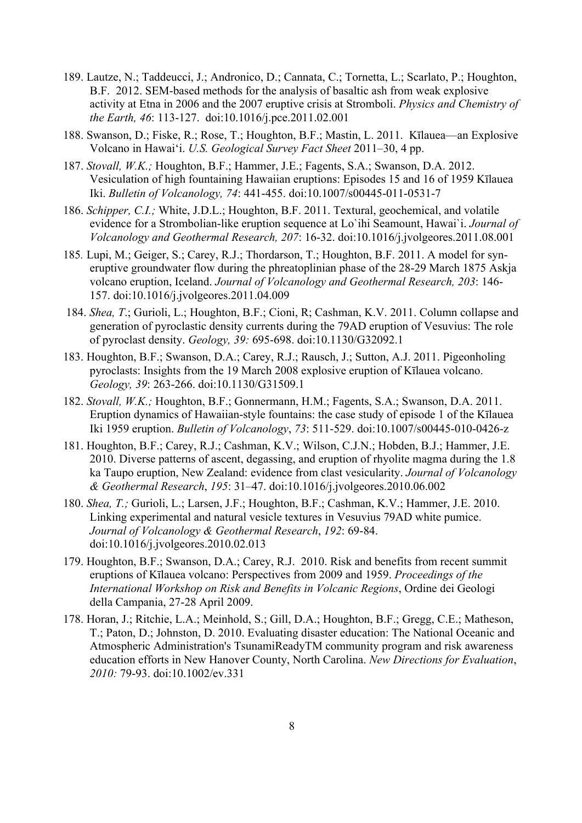- 189. Lautze, N.; Taddeucci, J.; Andronico, D.; Cannata, C.; Tornetta, L.; Scarlato, P.; Houghton, B.F. 2012. SEM-based methods for the analysis of basaltic ash from weak explosive activity at Etna in 2006 and the 2007 eruptive crisis at Stromboli. *Physics and Chemistry of the Earth, 46*: 113-127. doi:10.1016/j.pce.2011.02.001
- 188. Swanson, D.; Fiske, R.; Rose, T.; Houghton, B.F.; Mastin, L. 2011. Kīlauea—an Explosive Volcano in Hawai'i. *U.S. Geological Survey Fact Sheet* 2011–30, 4 pp.
- 187. *Stovall, W.K.;* Houghton, B.F.; Hammer, J.E.; Fagents, S.A.; Swanson, D.A. 2012. Vesiculation of high fountaining Hawaiian eruptions: Episodes 15 and 16 of 1959 Kīlauea Iki. *Bulletin of Volcanology, 74*: 441-455. doi:10.1007/s00445-011-0531-7
- 186. *Schipper, C.I.;* White, J.D.L.; Houghton, B.F. 2011. Textural, geochemical, and volatile evidence for a Strombolian-like eruption sequence at Lo`ihi Seamount, Hawai`i. *Journal of Volcanology and Geothermal Research, 207*: 16-32. doi:10.1016/j.jvolgeores.2011.08.001
- 185*.* Lupi, M.; Geiger, S.; Carey, R.J.; Thordarson, T.; Houghton, B.F. 2011. A model for syneruptive groundwater flow during the phreatoplinian phase of the 28-29 March 1875 Askja volcano eruption, Iceland. *Journal of Volcanology and Geothermal Research, 203*: 146- 157. doi:10.1016/j.jvolgeores.2011.04.009
- 184. *Shea, T*.; Gurioli, L.; Houghton, B.F.; Cioni, R; Cashman, K.V. 2011. Column collapse and generation of pyroclastic density currents during the 79AD eruption of Vesuvius: The role of pyroclast density. *Geology, 39:* 695-698. doi:10.1130/G32092.1
- 183. Houghton, B.F.; Swanson, D.A.; Carey, R.J.; Rausch, J.; Sutton, A.J. 2011. Pigeonholing pyroclasts: Insights from the 19 March 2008 explosive eruption of Kīlauea volcano. *Geology, 39*: 263-266. doi:10.1130/G31509.1
- 182. *Stovall, W.K.;* Houghton, B.F.; Gonnermann, H.M.; Fagents, S.A.; Swanson, D.A. 2011. Eruption dynamics of Hawaiian-style fountains: the case study of episode 1 of the Kīlauea Iki 1959 eruption. *Bulletin of Volcanology*, *73*: 511-529. doi:10.1007/s00445-010-0426-z
- 181. Houghton, B.F.; Carey, R.J.; Cashman, K.V.; Wilson, C.J.N.; Hobden, B.J.; Hammer, J.E. 2010. Diverse patterns of ascent, degassing, and eruption of rhyolite magma during the 1.8 ka Taupo eruption, New Zealand: evidence from clast vesicularity. *Journal of Volcanology & Geothermal Research*, *195*: 31–47. doi:10.1016/j.jvolgeores.2010.06.002
- 180. *Shea, T.;* Gurioli, L.; Larsen, J.F.; Houghton, B.F.; Cashman, K.V.; Hammer, J.E. 2010. Linking experimental and natural vesicle textures in Vesuvius 79AD white pumice. *Journal of Volcanology & Geothermal Research*, *192*: 69-84. doi:10.1016/j.jvolgeores.2010.02.013
- 179. Houghton, B.F.; Swanson, D.A.; Carey, R.J. 2010. Risk and benefits from recent summit eruptions of Kīlauea volcano: Perspectives from 2009 and 1959. *Proceedings of the International Workshop on Risk and Benefits in Volcanic Regions*, Ordine dei Geologi della Campania, 27-28 April 2009.
- 178. Horan, J.; Ritchie, L.A.; Meinhold, S.; Gill, D.A.; Houghton, B.F.; Gregg, C.E.; Matheson, T.; Paton, D.; Johnston, D. 2010. Evaluating disaster education: The National Oceanic and Atmospheric Administration's TsunamiReadyTM community program and risk awareness education efforts in New Hanover County, North Carolina. *New Directions for Evaluation*, *2010:* 79-93. doi:10.1002/ev.331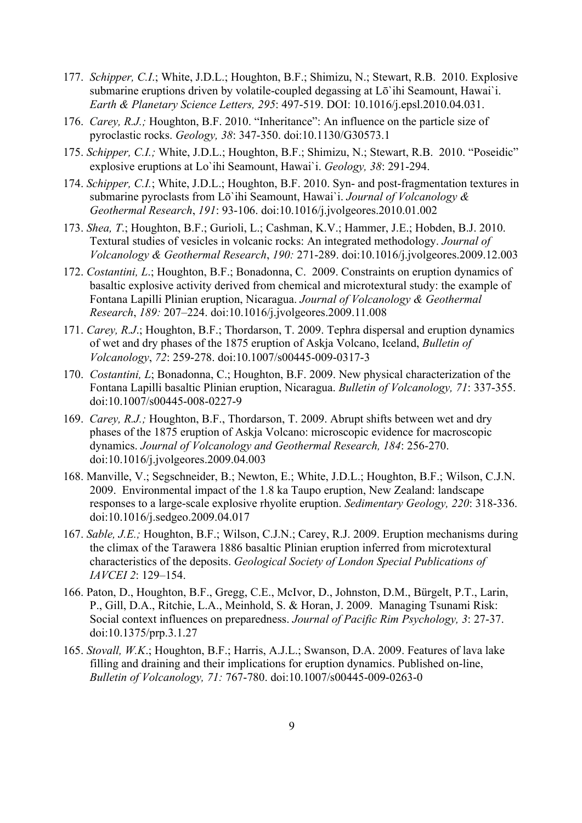- 177. *Schipper, C.I*.; White, J.D.L.; Houghton, B.F.; Shimizu, N.; Stewart, R.B. 2010. Explosive submarine eruptions driven by volatile-coupled degassing at Lō'ihi Seamount, Hawai'i. *Earth & Planetary Science Letters, 295*: 497-519. DOI: 10.1016/j.epsl.2010.04.031.
- 176. *Carey, R.J.;* Houghton, B.F. 2010. "Inheritance": An influence on the particle size of pyroclastic rocks. *Geology, 38*: 347-350. doi:10.1130/G30573.1
- 175. *Schipper, C.I.;* White, J.D.L.; Houghton, B.F.; Shimizu, N.; Stewart, R.B. 2010. "Poseidic" explosive eruptions at Lo`ihi Seamount, Hawai`i. *Geology, 38*: 291-294.
- 174. *Schipper, C.I.*; White, J.D.L.; Houghton, B.F. 2010. Syn- and post-fragmentation textures in submarine pyroclasts from Lō`ihi Seamount, Hawai`i. *Journal of Volcanology & Geothermal Research*, *191*: 93-106. doi:10.1016/j.jvolgeores.2010.01.002
- 173. *Shea, T*.; Houghton, B.F.; Gurioli, L.; Cashman, K.V.; Hammer, J.E.; Hobden, B.J. 2010. Textural studies of vesicles in volcanic rocks: An integrated methodology. *Journal of Volcanology & Geothermal Research*, *190:* 271-289. doi:10.1016/j.jvolgeores.2009.12.003
- 172. *Costantini, L*.; Houghton, B.F.; Bonadonna, C. 2009. Constraints on eruption dynamics of basaltic explosive activity derived from chemical and microtextural study: the example of Fontana Lapilli Plinian eruption, Nicaragua. *Journal of Volcanology & Geothermal Research*, *189:* 207–224. doi:10.1016/j.jvolgeores.2009.11.008
- 171. *Carey, R.J*.; Houghton, B.F.; Thordarson, T. 2009. Tephra dispersal and eruption dynamics of wet and dry phases of the 1875 eruption of Askja Volcano, Iceland, *Bulletin of Volcanology*, *72*: 259-278. doi:10.1007/s00445-009-0317-3
- 170. *Costantini, L*; Bonadonna, C.; Houghton, B.F. 2009. New physical characterization of the Fontana Lapilli basaltic Plinian eruption, Nicaragua. *Bulletin of Volcanology, 71*: 337-355. doi:10.1007/s00445-008-0227-9
- 169. *Carey, R.J.;* Houghton, B.F., Thordarson, T. 2009. Abrupt shifts between wet and dry phases of the 1875 eruption of Askja Volcano: microscopic evidence for macroscopic dynamics. *Journal of Volcanology and Geothermal Research, 184*: 256-270. doi:10.1016/j.jvolgeores.2009.04.003
- 168. Manville, V.; Segschneider, B.; Newton, E.; White, J.D.L.; Houghton, B.F.; Wilson, C.J.N. 2009. Environmental impact of the 1.8 ka Taupo eruption, New Zealand: landscape responses to a large-scale explosive rhyolite eruption. *Sedimentary Geology, 220*: 318-336. doi:10.1016/j.sedgeo.2009.04.017
- 167. *Sable, J.E.;* Houghton, B.F.; Wilson, C.J.N.; Carey, R.J. 2009. Eruption mechanisms during the climax of the Tarawera 1886 basaltic Plinian eruption inferred from microtextural characteristics of the deposits. *Geological Society of London Special Publications of IAVCEI 2*: 129–154.
- 166. Paton, D., Houghton, B.F., Gregg, C.E., McIvor, D., Johnston, D.M., Bürgelt, P.T., Larin, P., Gill, D.A., Ritchie, L.A., Meinhold, S. & Horan, J. 2009. Managing Tsunami Risk: Social context influences on preparedness. *Journal of Pacific Rim Psychology, 3*: 27-37. doi:10.1375/prp.3.1.27
- 165. *Stovall, W.K*.; Houghton, B.F.; Harris, A.J.L.; Swanson, D.A. 2009. Features of lava lake filling and draining and their implications for eruption dynamics. Published on-line, *Bulletin of Volcanology, 71:* 767-780. doi:10.1007/s00445-009-0263-0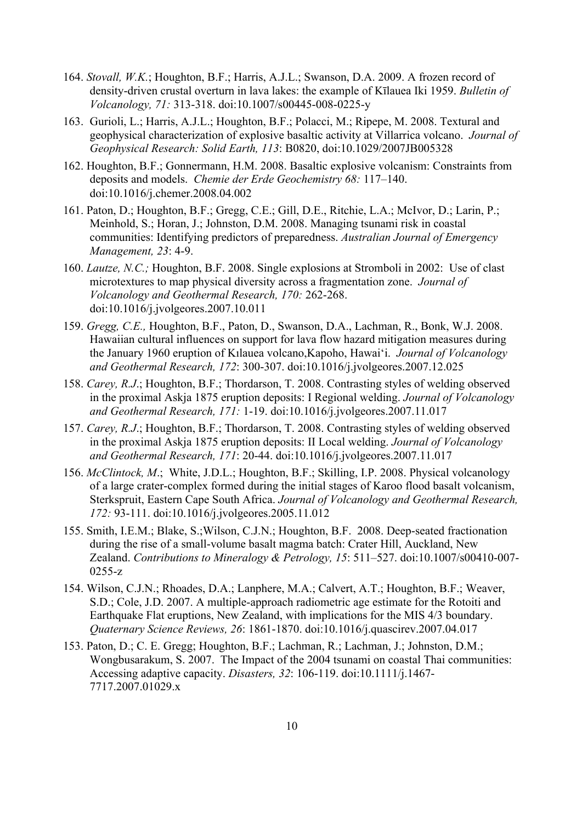- 164. *Stovall, W.K.*; Houghton, B.F.; Harris, A.J.L.; Swanson, D.A. 2009. A frozen record of density-driven crustal overturn in lava lakes: the example of Kīlauea Iki 1959. *Bulletin of Volcanology, 71:* 313-318. doi:10.1007/s00445-008-0225-y
- 163. Gurioli, L.; Harris, A.J.L.; Houghton, B.F.; Polacci, M.; Ripepe, M. 2008. Textural and geophysical characterization of explosive basaltic activity at Villarrica volcano. *Journal of Geophysical Research: Solid Earth, 113*: B0820, doi:10.1029/2007JB005328
- 162. Houghton, B.F.; Gonnermann, H.M. 2008. Basaltic explosive volcanism: Constraints from deposits and models. *Chemie der Erde Geochemistry 68:* 117–140. doi:10.1016/j.chemer.2008.04.002
- 161. Paton, D.; Houghton, B.F.; Gregg, C.E.; Gill, D.E., Ritchie, L.A.; McIvor, D.; Larin, P.; Meinhold, S.; Horan, J.; Johnston, D.M. 2008. Managing tsunami risk in coastal communities: Identifying predictors of preparedness. *Australian Journal of Emergency Management, 23*: 4-9.
- 160. *Lautze, N.C.;* Houghton, B.F. 2008. Single explosions at Stromboli in 2002: Use of clast microtextures to map physical diversity across a fragmentation zone. *Journal of Volcanology and Geothermal Research, 170:* 262-268. doi:10.1016/j.jvolgeores.2007.10.011
- 159. *Gregg, C.E.,* Houghton, B.F., Paton, D., Swanson, D.A., Lachman, R., Bonk, W.J. 2008. Hawaiian cultural influences on support for lava flow hazard mitigation measures during the January 1960 eruption of Kılauea volcano,Kapoho, Hawai'i. *Journal of Volcanology and Geothermal Research, 172*: 300-307. doi:10.1016/j.jvolgeores.2007.12.025
- 158. *Carey, R.J*.; Houghton, B.F.; Thordarson, T. 2008. Contrasting styles of welding observed in the proximal Askja 1875 eruption deposits: I Regional welding. *Journal of Volcanology and Geothermal Research, 171:* 1-19. doi:10.1016/j.jvolgeores.2007.11.017
- 157. *Carey, R.J*.; Houghton, B.F.; Thordarson, T. 2008. Contrasting styles of welding observed in the proximal Askja 1875 eruption deposits: II Local welding. *Journal of Volcanology and Geothermal Research, 171*: 20-44. doi:10.1016/j.jvolgeores.2007.11.017
- 156. *McClintock, M*.; White, J.D.L.; Houghton, B.F.; Skilling, I.P. 2008. Physical volcanology of a large crater-complex formed during the initial stages of Karoo flood basalt volcanism, Sterkspruit, Eastern Cape South Africa. *Journal of Volcanology and Geothermal Research, 172:* 93-111. doi:10.1016/j.jvolgeores.2005.11.012
- 155. Smith, I.E.M.; Blake, S.;Wilson, C.J.N.; Houghton, B.F. 2008. Deep-seated fractionation during the rise of a small-volume basalt magma batch: Crater Hill, Auckland, New Zealand. *Contributions to Mineralogy & Petrology, 15*: 511–527. doi:10.1007/s00410-007- 0255-z
- 154. Wilson, C.J.N.; Rhoades, D.A.; Lanphere, M.A.; Calvert, A.T.; Houghton, B.F.; Weaver, S.D.; Cole, J.D. 2007. A multiple-approach radiometric age estimate for the Rotoiti and Earthquake Flat eruptions, New Zealand, with implications for the MIS 4/3 boundary. *Quaternary Science Reviews, 26*: 1861-1870. doi:10.1016/j.quascirev.2007.04.017
- 153. Paton, D.; C. E. Gregg; Houghton, B.F.; Lachman, R.; Lachman, J.; Johnston, D.M.; Wongbusarakum, S. 2007. The Impact of the 2004 tsunami on coastal Thai communities: Accessing adaptive capacity. *Disasters, 32*: 106-119. doi:10.1111/j.1467- 7717.2007.01029.x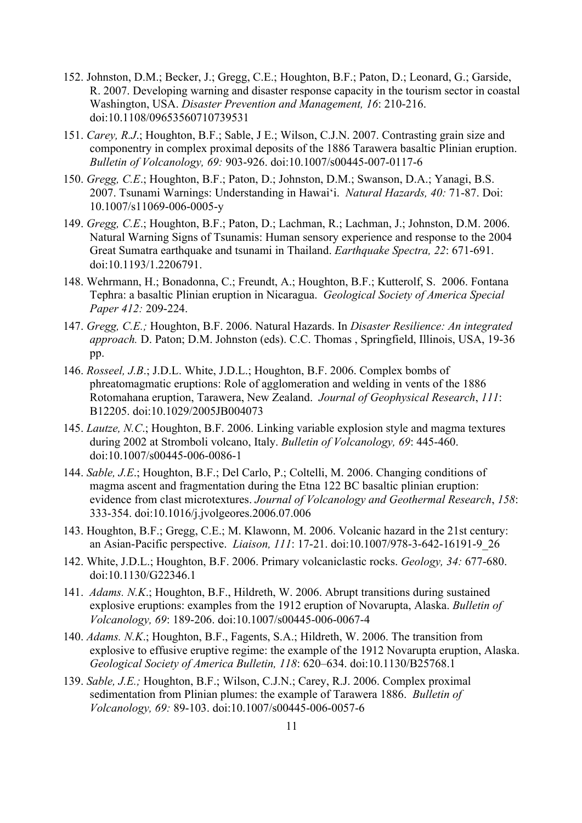- 152. Johnston, D.M.; Becker, J.; Gregg, C.E.; Houghton, B.F.; Paton, D.; Leonard, G.; Garside, R. 2007. Developing warning and disaster response capacity in the tourism sector in coastal Washington, USA. *Disaster Prevention and Management, 16*: 210-216. doi:10.1108/09653560710739531
- 151. *Carey, R.J*.; Houghton, B.F.; Sable, J E.; Wilson, C.J.N. 2007. Contrasting grain size and componentry in complex proximal deposits of the 1886 Tarawera basaltic Plinian eruption. *Bulletin of Volcanology, 69:* 903-926. doi:10.1007/s00445-007-0117-6
- 150. *Gregg, C.E*.; Houghton, B.F.; Paton, D.; Johnston, D.M.; Swanson, D.A.; Yanagi, B.S. 2007. Tsunami Warnings: Understanding in Hawai'i. *Natural Hazards, 40:* 71-87. Doi: 10.1007/s11069-006-0005-y
- 149. *Gregg, C.E*.; Houghton, B.F.; Paton, D.; Lachman, R.; Lachman, J.; Johnston, D.M. 2006. Natural Warning Signs of Tsunamis: Human sensory experience and response to the 2004 Great Sumatra earthquake and tsunami in Thailand. *Earthquake Spectra, 22*: 671-691. doi:10.1193/1.2206791.
- 148. Wehrmann, H.; Bonadonna, C.; Freundt, A.; Houghton, B.F.; Kutterolf, S. 2006. Fontana Tephra: a basaltic Plinian eruption in Nicaragua. *Geological Society of America Special Paper 412:* 209-224.
- 147. *Gregg, C.E.;* Houghton, B.F. 2006. Natural Hazards. In *Disaster Resilience: An integrated approach.* D. Paton; D.M. Johnston (eds). C.C. Thomas , Springfield, Illinois, USA, 19-36 pp.
- 146. *Rosseel, J.B*.; J.D.L. White, J.D.L.; Houghton, B.F. 2006. Complex bombs of phreatomagmatic eruptions: Role of agglomeration and welding in vents of the 1886 Rotomahana eruption, Tarawera, New Zealand. *Journal of Geophysical Research*, *111*: B12205. doi:10.1029/2005JB004073
- 145. *Lautze, N.C*.; Houghton, B.F. 2006. Linking variable explosion style and magma textures during 2002 at Stromboli volcano, Italy. *Bulletin of Volcanology, 69*: 445-460. doi:10.1007/s00445-006-0086-1
- 144. *Sable, J.E*.; Houghton, B.F.; Del Carlo, P.; Coltelli, M. 2006. Changing conditions of magma ascent and fragmentation during the Etna 122 BC basaltic plinian eruption: evidence from clast microtextures. *Journal of Volcanology and Geothermal Research*, *158*: 333-354. doi:10.1016/j.jvolgeores.2006.07.006
- 143. Houghton, B.F.; Gregg, C.E.; M. Klawonn, M. 2006. Volcanic hazard in the 21st century: an Asian-Pacific perspective. *Liaison, 111*: 17-21. doi:10.1007/978-3-642-16191-9\_26
- 142. White, J.D.L.; Houghton, B.F. 2006. Primary volcaniclastic rocks. *Geology, 34:* 677-680. doi:10.1130/G22346.1
- 141. *Adams. N.K*.; Houghton, B.F., Hildreth, W. 2006. Abrupt transitions during sustained explosive eruptions: examples from the 1912 eruption of Novarupta, Alaska. *Bulletin of Volcanology, 69*: 189-206. doi:10.1007/s00445-006-0067-4
- 140. *Adams. N.K*.; Houghton, B.F., Fagents, S.A.; Hildreth, W. 2006. The transition from explosive to effusive eruptive regime: the example of the 1912 Novarupta eruption, Alaska. *Geological Society of America Bulletin, 118*: 620–634. doi:10.1130/B25768.1
- 139. *Sable, J.E.;* Houghton, B.F.; Wilson, C.J.N.; Carey, R.J. 2006. Complex proximal sedimentation from Plinian plumes: the example of Tarawera 1886. *Bulletin of Volcanology, 69:* 89-103. doi:10.1007/s00445-006-0057-6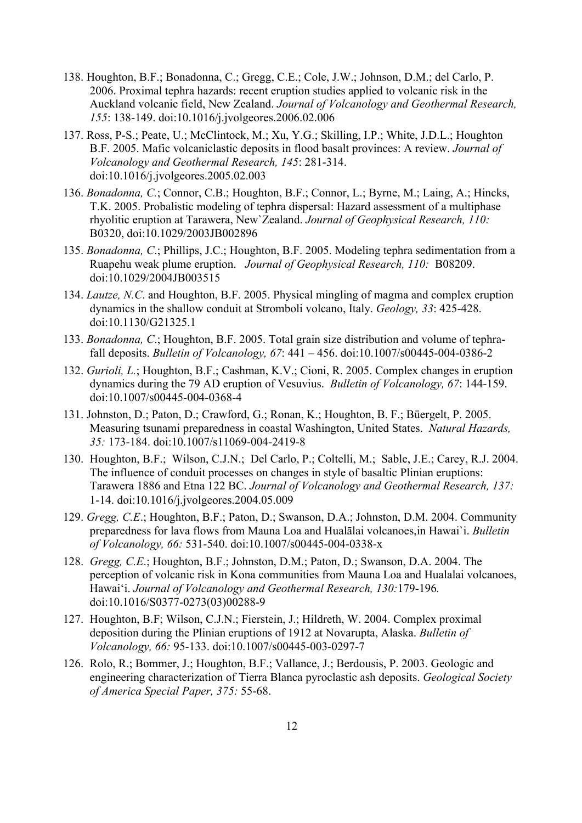- 138. Houghton, B.F.; Bonadonna, C.; Gregg, C.E.; Cole, J.W.; Johnson, D.M.; del Carlo, P. 2006. Proximal tephra hazards: recent eruption studies applied to volcanic risk in the Auckland volcanic field, New Zealand. *Journal of Volcanology and Geothermal Research, 155*: 138-149. doi:10.1016/j.jvolgeores.2006.02.006
- 137. Ross, P-S.; Peate, U.; McClintock, M.; Xu, Y.G.; Skilling, I.P.; White, J.D.L.; Houghton B.F. 2005. Mafic volcaniclastic deposits in flood basalt provinces: A review. *Journal of Volcanology and Geothermal Research, 145*: 281-314. doi:10.1016/j.jvolgeores.2005.02.003
- 136. *Bonadonna, C.*; Connor, C.B.; Houghton, B.F.; Connor, L.; Byrne, M.; Laing, A.; Hincks, T.K. 2005. Probalistic modeling of tephra dispersal: Hazard assessment of a multiphase rhyolitic eruption at Tarawera, New`Zealand. *Journal of Geophysical Research, 110:* B0320, doi:10.1029/2003JB002896
- 135. *Bonadonna, C*.; Phillips, J.C.; Houghton, B.F. 2005. Modeling tephra sedimentation from a Ruapehu weak plume eruption. *Journal of Geophysical Research, 110:* B08209. doi:10.1029/2004JB003515
- 134. *Lautze, N.C*. and Houghton, B.F. 2005. Physical mingling of magma and complex eruption dynamics in the shallow conduit at Stromboli volcano, Italy. *Geology, 33*: 425-428. doi:10.1130/G21325.1
- 133. *Bonadonna, C*.; Houghton, B.F. 2005. Total grain size distribution and volume of tephrafall deposits. *Bulletin of Volcanology, 67*: 441 – 456. doi:10.1007/s00445-004-0386-2
- 132. *Gurioli, L.*; Houghton, B.F.; Cashman, K.V.; Cioni, R. 2005. Complex changes in eruption dynamics during the 79 AD eruption of Vesuvius. *Bulletin of Volcanology, 67*: 144-159. doi:10.1007/s00445-004-0368-4
- 131. Johnston, D.; Paton, D.; Crawford, G.; Ronan, K.; Houghton, B. F.; Büergelt, P. 2005. Measuring tsunami preparedness in coastal Washington, United States. *Natural Hazards, 35:* 173-184. doi:10.1007/s11069-004-2419-8
- 130. Houghton, B.F.; Wilson, C.J.N.; Del Carlo, P.; Coltelli, M.; Sable, J.E.; Carey, R.J. 2004. The influence of conduit processes on changes in style of basaltic Plinian eruptions: Tarawera 1886 and Etna 122 BC. *Journal of Volcanology and Geothermal Research, 137:*  1-14. doi:10.1016/j.jvolgeores.2004.05.009
- 129. *Gregg, C.E*.; Houghton, B.F.; Paton, D.; Swanson, D.A.; Johnston, D.M. 2004. Community preparedness for lava flows from Mauna Loa and Hualālai volcanoes,in Hawai`i. *Bulletin of Volcanology, 66:* 531-540. doi:10.1007/s00445-004-0338-x
- 128. *Gregg, C.E*.; Houghton, B.F.; Johnston, D.M.; Paton, D.; Swanson, D.A. 2004. The perception of volcanic risk in Kona communities from Mauna Loa and Hualalai volcanoes, Hawai'i. *Journal of Volcanology and Geothermal Research, 130:*179-196*.* doi:10.1016/S0377-0273(03)00288-9
- 127. Houghton, B.F; Wilson, C.J.N.; Fierstein, J.; Hildreth, W. 2004. Complex proximal deposition during the Plinian eruptions of 1912 at Novarupta, Alaska. *Bulletin of Volcanology, 66:* 95-133. doi:10.1007/s00445-003-0297-7
- 126. Rolo, R.; Bommer, J.; Houghton, B.F.; Vallance, J.; Berdousis, P. 2003. Geologic and engineering characterization of Tierra Blanca pyroclastic ash deposits. *Geological Society of America Special Paper, 375:* 55-68.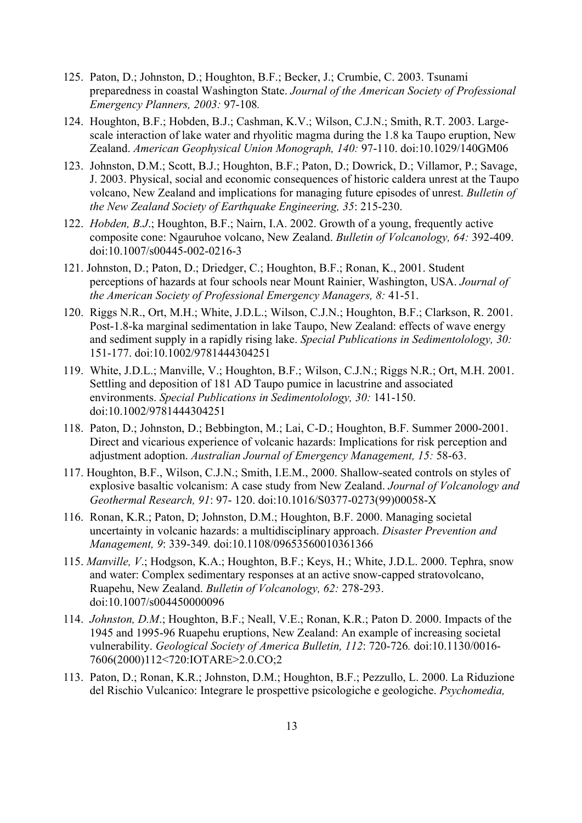- 125. Paton, D.; Johnston, D.; Houghton, B.F.; Becker, J.; Crumbie, C. 2003. Tsunami preparedness in coastal Washington State. *Journal of the American Society of Professional Emergency Planners, 2003:* 97-108*.*
- 124. Houghton, B.F.; Hobden, B.J.; Cashman, K.V.; Wilson, C.J.N.; Smith, R.T. 2003. Largescale interaction of lake water and rhyolitic magma during the 1.8 ka Taupo eruption, New Zealand. *American Geophysical Union Monograph, 140:* 97-110. doi:10.1029/140GM06
- 123. Johnston, D.M.; Scott, B.J.; Houghton, B.F.; Paton, D.; Dowrick, D.; Villamor, P.; Savage, J. 2003. Physical, social and economic consequences of historic caldera unrest at the Taupo volcano, New Zealand and implications for managing future episodes of unrest. *Bulletin of the New Zealand Society of Earthquake Engineering, 35*: 215-230.
- 122. *Hobden, B.J*.; Houghton, B.F.; Nairn, I.A. 2002. Growth of a young, frequently active composite cone: Ngauruhoe volcano, New Zealand. *Bulletin of Volcanology, 64:* 392-409. doi:10.1007/s00445-002-0216-3
- 121. Johnston, D.; Paton, D.; Driedger, C.; Houghton, B.F.; Ronan, K., 2001. Student perceptions of hazards at four schools near Mount Rainier, Washington, USA. *Journal of the American Society of Professional Emergency Managers, 8:* 41-51.
- 120. Riggs N.R., Ort, M.H.; White, J.D.L.; Wilson, C.J.N.; Houghton, B.F.; Clarkson, R. 2001. Post-1.8-ka marginal sedimentation in lake Taupo, New Zealand: effects of wave energy and sediment supply in a rapidly rising lake. *Special Publications in Sedimentolology, 30:*  151-177. doi:10.1002/9781444304251
- 119. White, J.D.L.; Manville, V.; Houghton, B.F.; Wilson, C.J.N.; Riggs N.R.; Ort, M.H. 2001. Settling and deposition of 181 AD Taupo pumice in lacustrine and associated environments. *Special Publications in Sedimentolology, 30:* 141-150. doi:10.1002/9781444304251
- 118. Paton, D.; Johnston, D.; Bebbington, M.; Lai, C-D.; Houghton, B.F. Summer 2000-2001. Direct and vicarious experience of volcanic hazards: Implications for risk perception and adjustment adoption. *Australian Journal of Emergency Management, 15:* 58-63.
- 117. Houghton, B.F., Wilson, C.J.N.; Smith, I.E.M., 2000. Shallow-seated controls on styles of explosive basaltic volcanism: A case study from New Zealand. *Journal of Volcanology and Geothermal Research, 91*: 97- 120. doi:10.1016/S0377-0273(99)00058-X
- 116. Ronan, K.R.; Paton, D; Johnston, D.M.; Houghton, B.F. 2000. Managing societal uncertainty in volcanic hazards: a multidisciplinary approach. *Disaster Prevention and Management, 9*: 339-349*.* doi:10.1108/09653560010361366
- 115. *Manville, V*.; Hodgson, K.A.; Houghton, B.F.; Keys, H.; White, J.D.L. 2000. Tephra, snow and water: Complex sedimentary responses at an active snow-capped stratovolcano, Ruapehu, New Zealand. *Bulletin of Volcanology, 62:* 278-293. doi:10.1007/s004450000096
- 114. *Johnston, D.M*.; Houghton, B.F.; Neall, V.E.; Ronan, K.R.; Paton D. 2000. Impacts of the 1945 and 1995-96 Ruapehu eruptions, New Zealand: An example of increasing societal vulnerability. *Geological Society of America Bulletin, 112*: 720-726*.* doi:10.1130/0016- 7606(2000)112<720:IOTARE>2.0.CO;2
- 113. Paton, D.; Ronan, K.R.; Johnston, D.M.; Houghton, B.F.; Pezzullo, L. 2000. La Riduzione del Rischio Vulcanico: Integrare le prospettive psicologiche e geologiche. *Psychomedia,*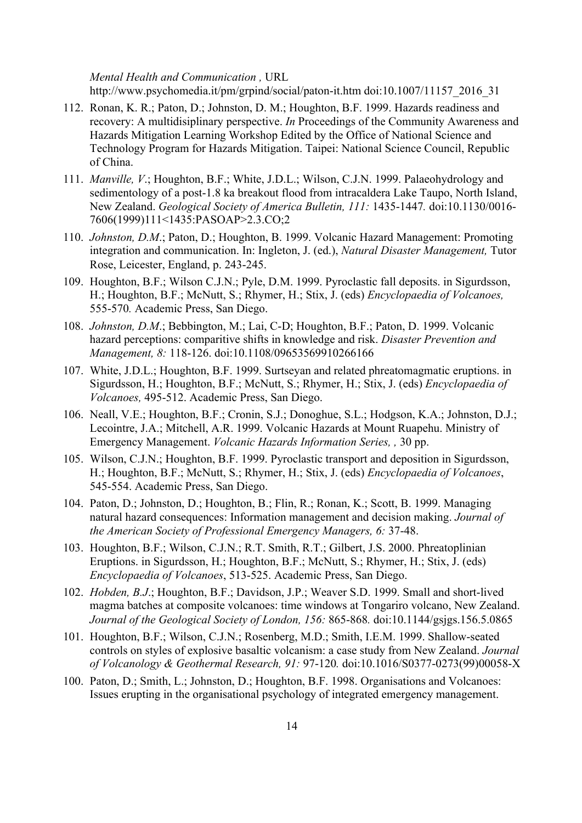*Mental Health and Communication ,* URL http://www.psychomedia.it/pm/grpind/social/paton-it.htm doi:10.1007/11157\_2016\_31

- 112. Ronan, K. R.; Paton, D.; Johnston, D. M.; Houghton, B.F. 1999. Hazards readiness and recovery: A multidisiplinary perspective. *In* Proceedings of the Community Awareness and Hazards Mitigation Learning Workshop Edited by the Office of National Science and Technology Program for Hazards Mitigation. Taipei: National Science Council, Republic of China.
- 111. *Manville, V*.; Houghton, B.F.; White, J.D.L.; Wilson, C.J.N. 1999. Palaeohydrology and sedimentology of a post-1.8 ka breakout flood from intracaldera Lake Taupo, North Island, New Zealand. *Geological Society of America Bulletin, 111:* 1435-1447*.* doi:10.1130/0016- 7606(1999)111<1435:PASOAP>2.3.CO;2
- 110. *Johnston, D.M*.; Paton, D.; Houghton, B. 1999. Volcanic Hazard Management: Promoting integration and communication. In: Ingleton, J. (ed.), *Natural Disaster Management,* Tutor Rose, Leicester, England, p. 243-245.
- 109. Houghton, B.F.; Wilson C.J.N.; Pyle, D.M. 1999. Pyroclastic fall deposits. in Sigurdsson, H.; Houghton, B.F.; McNutt, S.; Rhymer, H.; Stix, J. (eds) *Encyclopaedia of Volcanoes,*  555-570*.* Academic Press, San Diego.
- 108. *Johnston, D.M*.; Bebbington, M.; Lai, C-D; Houghton, B.F.; Paton, D. 1999. Volcanic hazard perceptions: comparitive shifts in knowledge and risk. *Disaster Prevention and Management, 8:* 118-126. doi:10.1108/09653569910266166
- 107. White, J.D.L.; Houghton, B.F. 1999. Surtseyan and related phreatomagmatic eruptions. in Sigurdsson, H.; Houghton, B.F.; McNutt, S.; Rhymer, H.; Stix, J. (eds) *Encyclopaedia of Volcanoes,* 495-512. Academic Press, San Diego.
- 106. Neall, V.E.; Houghton, B.F.; Cronin, S.J.; Donoghue, S.L.; Hodgson, K.A.; Johnston, D.J.; Lecointre, J.A.; Mitchell, A.R. 1999. Volcanic Hazards at Mount Ruapehu. Ministry of Emergency Management. *Volcanic Hazards Information Series, ,* 30 pp.
- 105. Wilson, C.J.N.; Houghton, B.F. 1999. Pyroclastic transport and deposition in Sigurdsson, H.; Houghton, B.F.; McNutt, S.; Rhymer, H.; Stix, J. (eds) *Encyclopaedia of Volcanoes*, 545-554. Academic Press, San Diego.
- 104. Paton, D.; Johnston, D.; Houghton, B.; Flin, R.; Ronan, K.; Scott, B. 1999. Managing natural hazard consequences: Information management and decision making. *Journal of the American Society of Professional Emergency Managers, 6:* 37-48.
- 103. Houghton, B.F.; Wilson, C.J.N.; R.T. Smith, R.T.; Gilbert, J.S. 2000. Phreatoplinian Eruptions. in Sigurdsson, H.; Houghton, B.F.; McNutt, S.; Rhymer, H.; Stix, J. (eds) *Encyclopaedia of Volcanoes*, 513-525. Academic Press, San Diego.
- 102. *Hobden, B.J*.; Houghton, B.F.; Davidson, J.P.; Weaver S.D. 1999. Small and short-lived magma batches at composite volcanoes: time windows at Tongariro volcano, New Zealand. *Journal of the Geological Society of London, 156:* 865-868*.* doi:10.1144/gsjgs.156.5.0865
- 101. Houghton, B.F.; Wilson, C.J.N.; Rosenberg, M.D.; Smith, I.E.M. 1999. Shallow-seated controls on styles of explosive basaltic volcanism: a case study from New Zealand. *Journal of Volcanology & Geothermal Research, 91:* 97-120*.* doi:10.1016/S0377-0273(99)00058-X
- 100. Paton, D.; Smith, L.; Johnston, D.; Houghton, B.F. 1998. Organisations and Volcanoes: Issues erupting in the organisational psychology of integrated emergency management.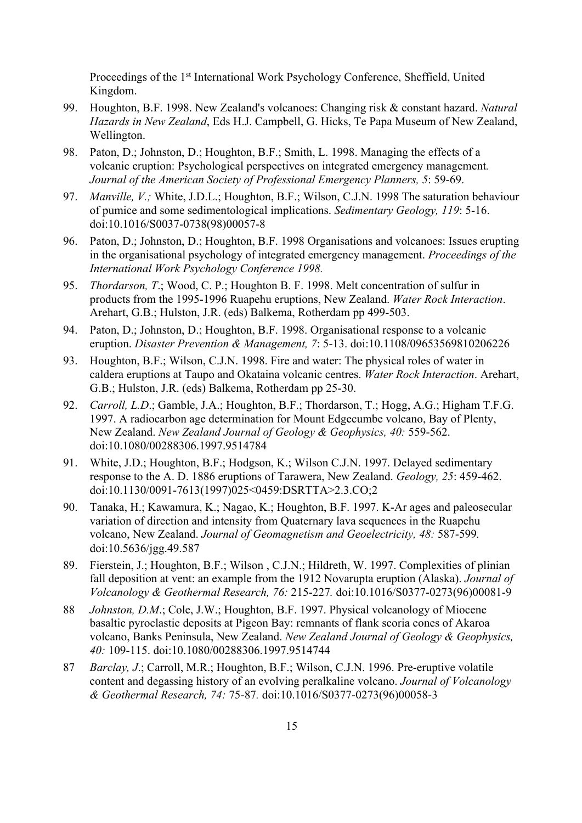Proceedings of the 1<sup>st</sup> International Work Psychology Conference, Sheffield, United Kingdom.

- 99. Houghton, B.F. 1998. New Zealand's volcanoes: Changing risk & constant hazard. *Natural Hazards in New Zealand*, Eds H.J. Campbell, G. Hicks, Te Papa Museum of New Zealand, Wellington.
- 98. Paton, D.; Johnston, D.; Houghton, B.F.; Smith, L. 1998. Managing the effects of a volcanic eruption: Psychological perspectives on integrated emergency management*. Journal of the American Society of Professional Emergency Planners, 5*: 59-69.
- 97. *Manville, V.;* White, J.D.L.; Houghton, B.F.; Wilson, C.J.N. 1998 The saturation behaviour of pumice and some sedimentological implications. *Sedimentary Geology, 119*: 5-16. doi:10.1016/S0037-0738(98)00057-8
- 96. Paton, D.; Johnston, D.; Houghton, B.F. 1998 Organisations and volcanoes: Issues erupting in the organisational psychology of integrated emergency management. *Proceedings of the International Work Psychology Conference 1998.*
- 95. *Thordarson, T*.; Wood, C. P.; Houghton B. F. 1998. Melt concentration of sulfur in products from the 1995-1996 Ruapehu eruptions, New Zealand. *Water Rock Interaction*. Arehart, G.B.; Hulston, J.R. (eds) Balkema, Rotherdam pp 499-503.
- 94. Paton, D.; Johnston, D.; Houghton, B.F. 1998. Organisational response to a volcanic eruption. *Disaster Prevention & Management, 7*: 5-13. doi:10.1108/09653569810206226
- 93. Houghton, B.F.; Wilson, C.J.N. 1998. Fire and water: The physical roles of water in caldera eruptions at Taupo and Okataina volcanic centres. *Water Rock Interaction*. Arehart, G.B.; Hulston, J.R. (eds) Balkema, Rotherdam pp 25-30.
- 92. *Carroll, L.D*.; Gamble, J.A.; Houghton, B.F.; Thordarson, T.; Hogg, A.G.; Higham T.F.G. 1997. A radiocarbon age determination for Mount Edgecumbe volcano, Bay of Plenty, New Zealand. *New Zealand Journal of Geology & Geophysics, 40:* 559-562. doi:10.1080/00288306.1997.9514784
- 91. White, J.D.; Houghton, B.F.; Hodgson, K.; Wilson C.J.N. 1997. Delayed sedimentary response to the A. D. 1886 eruptions of Tarawera, New Zealand. *Geology, 25*: 459-462. doi:10.1130/0091-7613(1997)025<0459:DSRTTA>2.3.CO;2
- 90. Tanaka, H.; Kawamura, K.; Nagao, K.; Houghton, B.F. 1997. K-Ar ages and paleosecular variation of direction and intensity from Quaternary lava sequences in the Ruapehu volcano, New Zealand. *Journal of Geomagnetism and Geoelectricity, 48:* 587-599*.* doi:10.5636/jgg.49.587
- 89. Fierstein, J.; Houghton, B.F.; Wilson , C.J.N.; Hildreth, W. 1997. Complexities of plinian fall deposition at vent: an example from the 1912 Novarupta eruption (Alaska). *Journal of Volcanology & Geothermal Research, 76:* 215-227*.* doi:10.1016/S0377-0273(96)00081-9
- 88 *Johnston, D.M*.; Cole, J.W.; Houghton, B.F. 1997. Physical volcanology of Miocene basaltic pyroclastic deposits at Pigeon Bay: remnants of flank scoria cones of Akaroa volcano, Banks Peninsula, New Zealand. *New Zealand Journal of Geology & Geophysics, 40:* 109-115. doi:10.1080/00288306.1997.9514744
- 87 *Barclay, J*.; Carroll, M.R.; Houghton, B.F.; Wilson, C.J.N. 1996. Pre-eruptive volatile content and degassing history of an evolving peralkaline volcano. *Journal of Volcanology & Geothermal Research, 74:* 75-87*.* doi:10.1016/S0377-0273(96)00058-3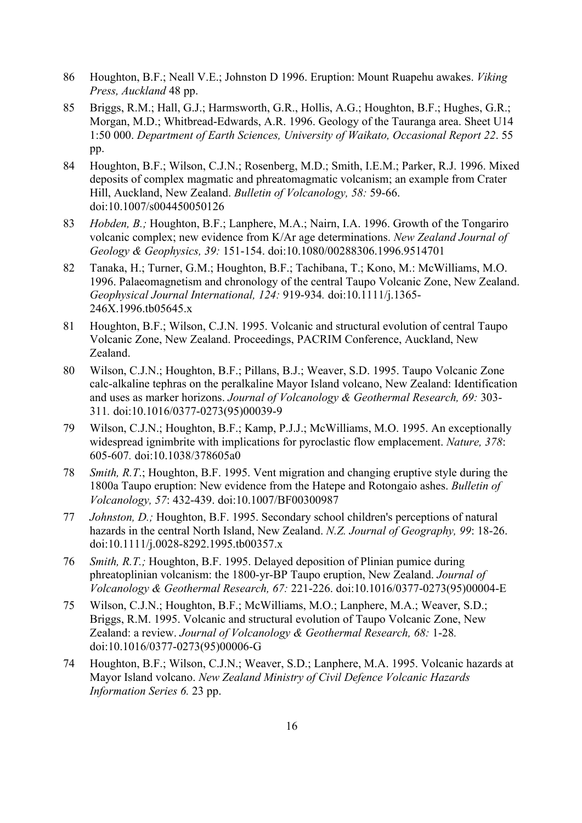- 86 Houghton, B.F.; Neall V.E.; Johnston D 1996. Eruption: Mount Ruapehu awakes. *Viking Press, Auckland* 48 pp.
- 85 Briggs, R.M.; Hall, G.J.; Harmsworth, G.R., Hollis, A.G.; Houghton, B.F.; Hughes, G.R.; Morgan, M.D.; Whitbread-Edwards, A.R. 1996. Geology of the Tauranga area. Sheet U14 1:50 000. *Department of Earth Sciences, University of Waikato, Occasional Report 22*. 55 pp.
- 84 Houghton, B.F.; Wilson, C.J.N.; Rosenberg, M.D.; Smith, I.E.M.; Parker, R.J. 1996. Mixed deposits of complex magmatic and phreatomagmatic volcanism; an example from Crater Hill, Auckland, New Zealand. *Bulletin of Volcanology, 58:* 59-66. doi:10.1007/s004450050126
- 83 *Hobden, B.;* Houghton, B.F.; Lanphere, M.A.; Nairn, I.A. 1996. Growth of the Tongariro volcanic complex; new evidence from K/Ar age determinations. *New Zealand Journal of Geology & Geophysics, 39:* 151-154. doi:10.1080/00288306.1996.9514701
- 82 Tanaka, H.; Turner, G.M.; Houghton, B.F.; Tachibana, T.; Kono, M.: McWilliams, M.O. 1996. Palaeomagnetism and chronology of the central Taupo Volcanic Zone, New Zealand. *Geophysical Journal International, 124:* 919-934*.* doi:10.1111/j.1365- 246X.1996.tb05645.x
- 81 Houghton, B.F.; Wilson, C.J.N. 1995. Volcanic and structural evolution of central Taupo Volcanic Zone, New Zealand. Proceedings, PACRIM Conference, Auckland, New Zealand.
- 80 Wilson, C.J.N.; Houghton, B.F.; Pillans, B.J.; Weaver, S.D. 1995. Taupo Volcanic Zone calc-alkaline tephras on the peralkaline Mayor Island volcano, New Zealand: Identification and uses as marker horizons. *Journal of Volcanology & Geothermal Research, 69:* 303- 311*.* doi:10.1016/0377-0273(95)00039-9
- 79 Wilson, C.J.N.; Houghton, B.F.; Kamp, P.J.J.; McWilliams, M.O. 1995. An exceptionally widespread ignimbrite with implications for pyroclastic flow emplacement. *Nature, 378*: 605-607*.* doi:10.1038/378605a0
- 78 *Smith, R.T*.; Houghton, B.F. 1995. Vent migration and changing eruptive style during the 1800a Taupo eruption: New evidence from the Hatepe and Rotongaio ashes. *Bulletin of Volcanology, 57*: 432-439. doi:10.1007/BF00300987
- 77 *Johnston, D.;* Houghton, B.F. 1995. Secondary school children's perceptions of natural hazards in the central North Island, New Zealand. *N.Z. Journal of Geography, 99*: 18-26. doi:10.1111/j.0028-8292.1995.tb00357.x
- 76 *Smith, R.T.;* Houghton, B.F. 1995. Delayed deposition of Plinian pumice during phreatoplinian volcanism: the 1800-yr-BP Taupo eruption, New Zealand. *Journal of Volcanology & Geothermal Research, 67:* 221-226. doi:10.1016/0377-0273(95)00004-E
- 75 Wilson, C.J.N.; Houghton, B.F.; McWilliams, M.O.; Lanphere, M.A.; Weaver, S.D.; Briggs, R.M. 1995. Volcanic and structural evolution of Taupo Volcanic Zone, New Zealand: a review. *Journal of Volcanology & Geothermal Research, 68:* 1-28*.* doi:10.1016/0377-0273(95)00006-G
- 74 Houghton, B.F.; Wilson, C.J.N.; Weaver, S.D.; Lanphere, M.A. 1995. Volcanic hazards at Mayor Island volcano. *New Zealand Ministry of Civil Defence Volcanic Hazards Information Series 6.* 23 pp.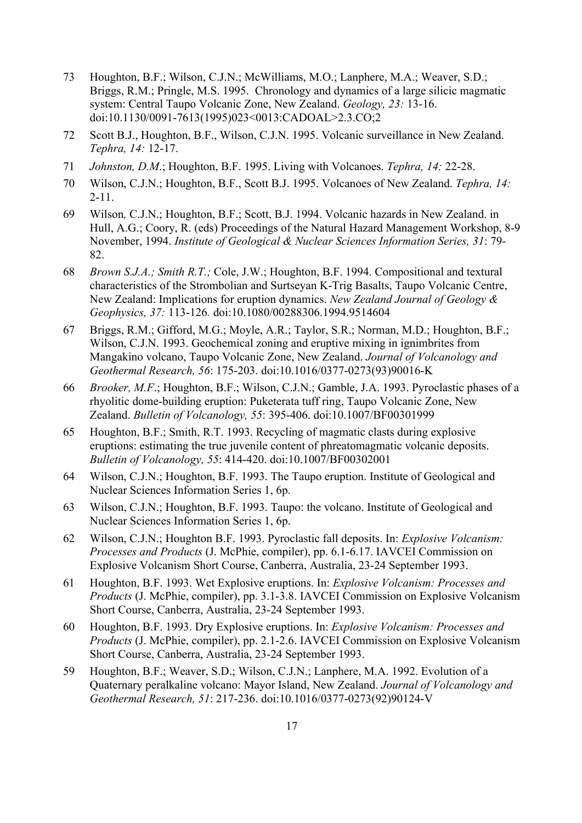- 73 Houghton, B.F.; Wilson, C.J.N.; McWilliams, M.O.; Lanphere, M.A.; Weaver, S.D.; Briggs, R.M.; Pringle, M.S. 1995. Chronology and dynamics of a large silicic magmatic system: Central Taupo Volcanic Zone, New Zealand. *Geology, 23:* 13-16. doi:10.1130/0091-7613(1995)023<0013:CADOAL>2.3.CO;2
- 72 Scott B.J., Houghton, B.F., Wilson, C.J.N. 1995. Volcanic surveillance in New Zealand. *Tephra, 14:* 12-17.
- 71 *Johnston, D.M*.; Houghton, B.F. 1995. Living with Volcanoes. *Tephra, 14:* 22-28.
- 70 Wilson, C.J.N.; Houghton, B.F., Scott B.J. 1995. Volcanoes of New Zealand. *Tephra, 14:* 2-11.
- 69 Wilson*,* C.J.N.; Houghton, B.F.; Scott, B.J. 1994. Volcanic hazards in New Zealand. in Hull, A.G.; Coory, R. (eds) Proceedings of the Natural Hazard Management Workshop, 8-9 November, 1994. *Institute of Geological & Nuclear Sciences Information Series, 31*: 79- 82.
- 68 *Brown S.J.A.; Smith R.T.;* Cole, J.W.; Houghton, B.F. 1994. Compositional and textural characteristics of the Strombolian and Surtseyan K-Trig Basalts, Taupo Volcanic Centre, New Zealand: Implications for eruption dynamics. *New Zealand Journal of Geology & Geophysics, 37:* 113-126*.* doi:10.1080/00288306.1994.9514604
- 67 Briggs, R.M.; Gifford, M.G.; Moyle, A.R.; Taylor, S.R.; Norman, M.D.; Houghton, B.F.; Wilson, C.J.N. 1993. Geochemical zoning and eruptive mixing in ignimbrites from Mangakino volcano, Taupo Volcanic Zone, New Zealand. *Journal of Volcanology and Geothermal Research, 56*: 175-203. doi:10.1016/0377-0273(93)90016-K
- 66 *Brooker, M.F*.; Houghton, B.F.; Wilson, C.J.N.; Gamble, J.A. 1993. Pyroclastic phases of a rhyolitic dome-building eruption: Puketerata tuff ring, Taupo Volcanic Zone, New Zealand. *Bulletin of Volcanology, 55*: 395-406. doi:10.1007/BF00301999
- 65 Houghton, B.F.; Smith, R.T. 1993. Recycling of magmatic clasts during explosive eruptions: estimating the true juvenile content of phreatomagmatic volcanic deposits. *Bulletin of Volcanology, 55*: 414-420. doi:10.1007/BF00302001
- 64 Wilson, C.J.N.; Houghton, B.F. 1993. The Taupo eruption. Institute of Geological and Nuclear Sciences Information Series 1, 6p.
- 63 Wilson, C.J.N.; Houghton, B.F. 1993. Taupo: the volcano. Institute of Geological and Nuclear Sciences Information Series 1, 6p.
- 62 Wilson, C.J.N.; Houghton B.F. 1993. Pyroclastic fall deposits. In: *Explosive Volcanism: Processes and Products* (J. McPhie, compiler), pp. 6.1-6.17. IAVCEI Commission on Explosive Volcanism Short Course, Canberra, Australia, 23-24 September 1993.
- 61 Houghton, B.F. 1993. Wet Explosive eruptions. In: *Explosive Volcanism: Processes and Products* (J. McPhie, compiler), pp. 3.1-3.8. IAVCEI Commission on Explosive Volcanism Short Course, Canberra, Australia, 23-24 September 1993.
- 60 Houghton, B.F. 1993. Dry Explosive eruptions. In: *Explosive Volcanism: Processes and Products* (J. McPhie, compiler), pp. 2.1-2.6. IAVCEI Commission on Explosive Volcanism Short Course, Canberra, Australia, 23-24 September 1993.
- 59 Houghton, B.F.; Weaver, S.D.; Wilson, C.J.N.; Lanphere, M.A. 1992. Evolution of a Quaternary peralkaline volcano: Mayor Island, New Zealand. *Journal of Volcanology and Geothermal Research, 51*: 217-236. doi:10.1016/0377-0273(92)90124-V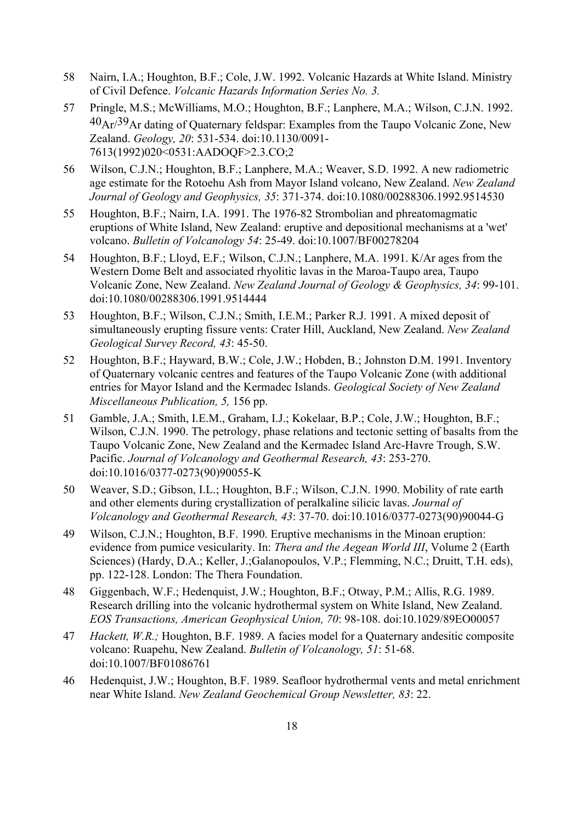- 58 Nairn, I.A.; Houghton, B.F.; Cole, J.W. 1992. Volcanic Hazards at White Island. Ministry of Civil Defence. *Volcanic Hazards Information Series No. 3.*
- 57 Pringle, M.S.; McWilliams, M.O.; Houghton, B.F.; Lanphere, M.A.; Wilson, C.J.N. 1992. 40Ar/39Ar dating of Quaternary feldspar: Examples from the Taupo Volcanic Zone, New Zealand. *Geology, 20*: 531-534. doi:10.1130/0091- 7613(1992)020<0531:AADOQF>2.3.CO;2
- 56 Wilson, C.J.N.; Houghton, B.F.; Lanphere, M.A.; Weaver, S.D. 1992. A new radiometric age estimate for the Rotoehu Ash from Mayor Island volcano, New Zealand. *New Zealand Journal of Geology and Geophysics, 35*: 371-374. doi:10.1080/00288306.1992.9514530
- 55 Houghton, B.F.; Nairn, I.A. 1991. The 1976-82 Strombolian and phreatomagmatic eruptions of White Island, New Zealand: eruptive and depositional mechanisms at a 'wet' volcano. *Bulletin of Volcanology 54*: 25-49. doi:10.1007/BF00278204
- 54 Houghton, B.F.; Lloyd, E.F.; Wilson, C.J.N.; Lanphere, M.A. 1991. K/Ar ages from the Western Dome Belt and associated rhyolitic lavas in the Maroa-Taupo area, Taupo Volcanic Zone, New Zealand. *New Zealand Journal of Geology & Geophysics, 34*: 99-101. doi:10.1080/00288306.1991.9514444
- 53 Houghton, B.F.; Wilson, C.J.N.; Smith, I.E.M.; Parker R.J. 1991. A mixed deposit of simultaneously erupting fissure vents: Crater Hill, Auckland, New Zealand. *New Zealand Geological Survey Record, 43*: 45-50.
- 52 Houghton, B.F.; Hayward, B.W.; Cole, J.W.; Hobden, B.; Johnston D.M. 1991. Inventory of Quaternary volcanic centres and features of the Taupo Volcanic Zone (with additional entries for Mayor Island and the Kermadec Islands. *Geological Society of New Zealand Miscellaneous Publication, 5,* 156 pp.
- 51 Gamble, J.A.; Smith, I.E.M., Graham, I.J.; Kokelaar, B.P.; Cole, J.W.; Houghton, B.F.; Wilson, C.J.N. 1990. The petrology, phase relations and tectonic setting of basalts from the Taupo Volcanic Zone, New Zealand and the Kermadec Island Arc-Havre Trough, S.W. Pacific. *Journal of Volcanology and Geothermal Research, 43*: 253-270. doi:10.1016/0377-0273(90)90055-K
- 50 Weaver, S.D.; Gibson, I.L.; Houghton, B.F.; Wilson, C.J.N. 1990. Mobility of rate earth and other elements during crystallization of peralkaline silicic lavas. *Journal of Volcanology and Geothermal Research, 43*: 37-70. doi:10.1016/0377-0273(90)90044-G
- 49 Wilson, C.J.N.; Houghton, B.F. 1990. Eruptive mechanisms in the Minoan eruption: evidence from pumice vesicularity. In: *Thera and the Aegean World III*, Volume 2 (Earth Sciences) (Hardy, D.A.; Keller, J.;Galanopoulos, V.P.; Flemming, N.C.; Druitt, T.H. eds), pp. 122-128. London: The Thera Foundation.
- 48 Giggenbach, W.F.; Hedenquist, J.W.; Houghton, B.F.; Otway, P.M.; Allis, R.G. 1989. Research drilling into the volcanic hydrothermal system on White Island, New Zealand. *EOS Transactions, American Geophysical Union, 70*: 98-108. doi:10.1029/89EO00057
- 47 *Hackett, W.R.;* Houghton, B.F. 1989. A facies model for a Quaternary andesitic composite volcano: Ruapehu, New Zealand. *Bulletin of Volcanology, 51*: 51-68. doi:10.1007/BF01086761
- 46 Hedenquist, J.W.; Houghton, B.F. 1989. Seafloor hydrothermal vents and metal enrichment near White Island. *New Zealand Geochemical Group Newsletter, 83*: 22.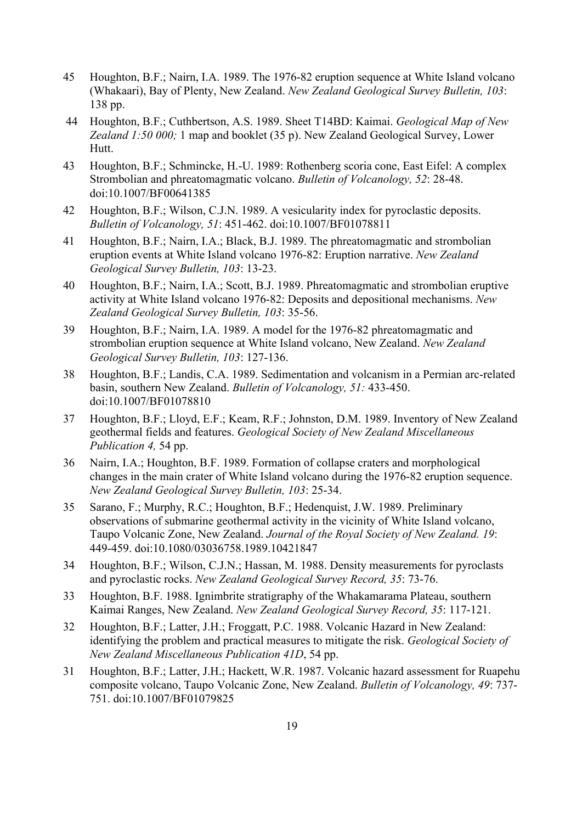- 45 Houghton, B.F.; Nairn, I.A. 1989. The 1976-82 eruption sequence at White Island volcano (Whakaari), Bay of Plenty, New Zealand. *New Zealand Geological Survey Bulletin, 103*: 138 pp.
- 44 Houghton, B.F.; Cuthbertson, A.S. 1989. Sheet T14BD: Kaimai. *Geological Map of New Zealand 1:50 000;* 1 map and booklet (35 p). New Zealand Geological Survey, Lower Hutt.
- 43 Houghton, B.F.; Schmincke, H.-U. 1989: Rothenberg scoria cone, East Eifel: A complex Strombolian and phreatomagmatic volcano. *Bulletin of Volcanology, 52*: 28-48. doi:10.1007/BF00641385
- 42 Houghton, B.F.; Wilson, C.J.N. 1989. A vesicularity index for pyroclastic deposits. *Bulletin of Volcanology, 51*: 451-462. doi:10.1007/BF01078811
- 41 Houghton, B.F.; Nairn, I.A.; Black, B.J. 1989. The phreatomagmatic and strombolian eruption events at White Island volcano 1976-82: Eruption narrative. *New Zealand Geological Survey Bulletin, 103*: 13-23.
- 40 Houghton, B.F.; Nairn, I.A.; Scott, B.J. 1989. Phreatomagmatic and strombolian eruptive activity at White Island volcano 1976-82: Deposits and depositional mechanisms. *New Zealand Geological Survey Bulletin, 103*: 35-56.
- 39 Houghton, B.F.; Nairn, I.A. 1989. A model for the 1976-82 phreatomagmatic and strombolian eruption sequence at White Island volcano, New Zealand. *New Zealand Geological Survey Bulletin, 103*: 127-136.
- 38 Houghton, B.F.; Landis, C.A. 1989. Sedimentation and volcanism in a Permian arc-related basin, southern New Zealand. *Bulletin of Volcanology, 51:* 433-450. doi:10.1007/BF01078810
- 37 Houghton, B.F.; Lloyd, E.F.; Keam, R.F.; Johnston, D.M. 1989. Inventory of New Zealand geothermal fields and features. *Geological Society of New Zealand Miscellaneous Publication 4,* 54 pp.
- 36 Nairn, I.A.; Houghton, B.F. 1989. Formation of collapse craters and morphological changes in the main crater of White Island volcano during the 1976-82 eruption sequence. *New Zealand Geological Survey Bulletin, 103*: 25-34.
- 35 Sarano, F.; Murphy, R.C.; Houghton, B.F.; Hedenquist, J.W. 1989. Preliminary observations of submarine geothermal activity in the vicinity of White Island volcano, Taupo Volcanic Zone, New Zealand. *Journal of the Royal Society of New Zealand. 19*: 449-459. doi:10.1080/03036758.1989.10421847
- 34 Houghton, B.F.; Wilson, C.J.N.; Hassan, M. 1988. Density measurements for pyroclasts and pyroclastic rocks. *New Zealand Geological Survey Record, 35*: 73-76.
- 33 Houghton, B.F. 1988. Ignimbrite stratigraphy of the Whakamarama Plateau, southern Kaimai Ranges, New Zealand. *New Zealand Geological Survey Record, 35*: 117-121.
- 32 Houghton, B.F.; Latter, J.H.; Froggatt, P.C. 1988. Volcanic Hazard in New Zealand: identifying the problem and practical measures to mitigate the risk. *Geological Society of New Zealand Miscellaneous Publication 41D*, 54 pp.
- 31 Houghton, B.F.; Latter, J.H.; Hackett, W.R. 1987. Volcanic hazard assessment for Ruapehu composite volcano, Taupo Volcanic Zone, New Zealand. *Bulletin of Volcanology, 49*: 737- 751. doi:10.1007/BF01079825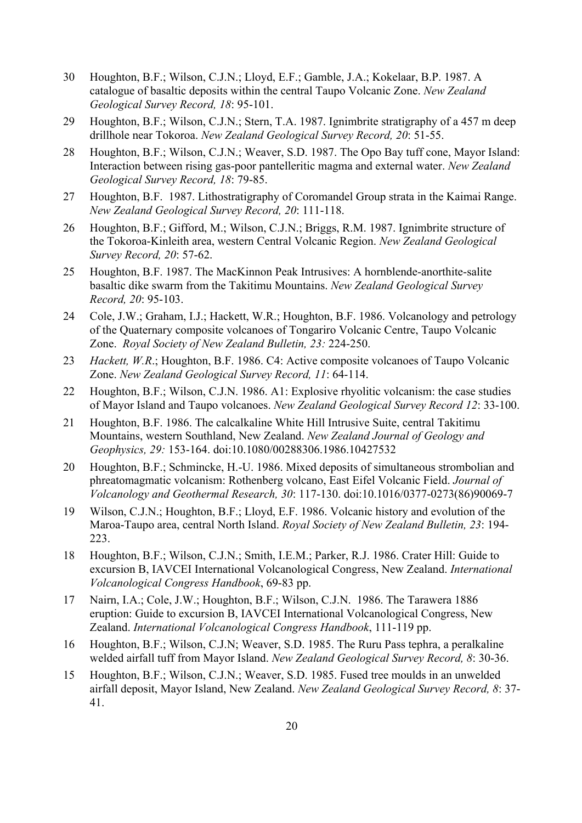- 30 Houghton, B.F.; Wilson, C.J.N.; Lloyd, E.F.; Gamble, J.A.; Kokelaar, B.P. 1987. A catalogue of basaltic deposits within the central Taupo Volcanic Zone. *New Zealand Geological Survey Record, 18*: 95-101.
- 29 Houghton, B.F.; Wilson, C.J.N.; Stern, T.A. 1987. Ignimbrite stratigraphy of a 457 m deep drillhole near Tokoroa. *New Zealand Geological Survey Record, 20*: 51-55.
- 28 Houghton, B.F.; Wilson, C.J.N.; Weaver, S.D. 1987. The Opo Bay tuff cone, Mayor Island: Interaction between rising gas-poor pantelleritic magma and external water. *New Zealand Geological Survey Record, 18*: 79-85.
- 27 Houghton, B.F. 1987. Lithostratigraphy of Coromandel Group strata in the Kaimai Range. *New Zealand Geological Survey Record, 20*: 111-118.
- 26 Houghton, B.F.; Gifford, M.; Wilson, C.J.N.; Briggs, R.M. 1987. Ignimbrite structure of the Tokoroa-Kinleith area, western Central Volcanic Region. *New Zealand Geological Survey Record, 20*: 57-62.
- 25 Houghton, B.F. 1987. The MacKinnon Peak Intrusives: A hornblende-anorthite-salite basaltic dike swarm from the Takitimu Mountains. *New Zealand Geological Survey Record, 20*: 95-103.
- 24 Cole, J.W.; Graham, I.J.; Hackett, W.R.; Houghton, B.F. 1986. Volcanology and petrology of the Quaternary composite volcanoes of Tongariro Volcanic Centre, Taupo Volcanic Zone. *Royal Society of New Zealand Bulletin, 23:* 224-250.
- 23 *Hackett, W.R*.; Houghton, B.F. 1986. C4: Active composite volcanoes of Taupo Volcanic Zone. *New Zealand Geological Survey Record, 11*: 64-114.
- 22 Houghton, B.F.; Wilson, C.J.N. 1986. A1: Explosive rhyolitic volcanism: the case studies of Mayor Island and Taupo volcanoes. *New Zealand Geological Survey Record 12*: 33-100.
- 21 Houghton, B.F. 1986. The calcalkaline White Hill Intrusive Suite, central Takitimu Mountains, western Southland, New Zealand. *New Zealand Journal of Geology and Geophysics, 29:* 153-164. doi:10.1080/00288306.1986.10427532
- 20 Houghton, B.F.; Schmincke, H.-U. 1986. Mixed deposits of simultaneous strombolian and phreatomagmatic volcanism: Rothenberg volcano, East Eifel Volcanic Field. *Journal of Volcanology and Geothermal Research, 30*: 117-130. doi:10.1016/0377-0273(86)90069-7
- 19 Wilson, C.J.N.; Houghton, B.F.; Lloyd, E.F. 1986. Volcanic history and evolution of the Maroa-Taupo area, central North Island. *Royal Society of New Zealand Bulletin, 23*: 194- 223.
- 18 Houghton, B.F.; Wilson, C.J.N.; Smith, I.E.M.; Parker, R.J. 1986. Crater Hill: Guide to excursion B, IAVCEI International Volcanological Congress, New Zealand. *International Volcanological Congress Handbook*, 69-83 pp.
- 17 Nairn, I.A.; Cole, J.W.; Houghton, B.F.; Wilson, C.J.N. 1986. The Tarawera 1886 eruption: Guide to excursion B, IAVCEI International Volcanological Congress, New Zealand. *International Volcanological Congress Handbook*, 111-119 pp.
- 16 Houghton, B.F.; Wilson, C.J.N; Weaver, S.D. 1985. The Ruru Pass tephra, a peralkaline welded airfall tuff from Mayor Island. *New Zealand Geological Survey Record, 8*: 30-36.
- 15 Houghton, B.F.; Wilson, C.J.N.; Weaver, S.D. 1985. Fused tree moulds in an unwelded airfall deposit, Mayor Island, New Zealand. *New Zealand Geological Survey Record, 8*: 37- 41.